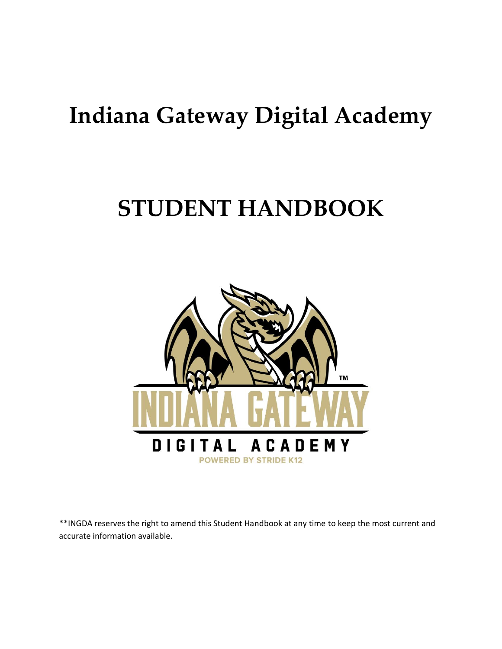# **Indiana Gateway Digital Academy**

# **STUDENT HANDBOOK**



\*\*INGDA reserves the right to amend this Student Handbook at any time to keep the most current and accurate information available.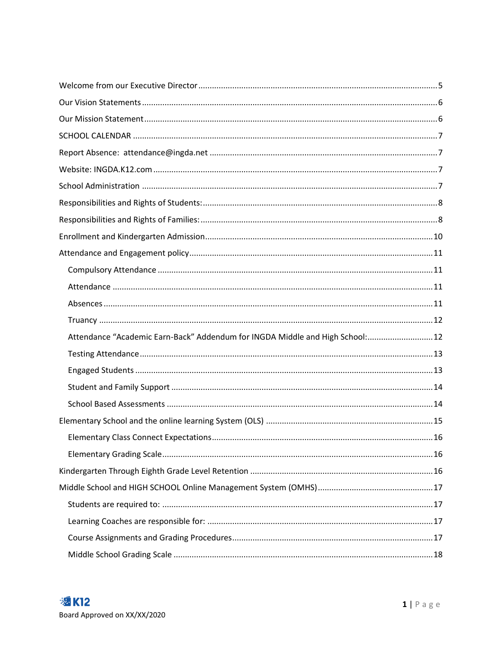| Attendance "Academic Earn-Back" Addendum for INGDA Middle and High School: 12 |  |
|-------------------------------------------------------------------------------|--|
|                                                                               |  |
|                                                                               |  |
|                                                                               |  |
|                                                                               |  |
|                                                                               |  |
|                                                                               |  |
|                                                                               |  |
|                                                                               |  |
|                                                                               |  |
|                                                                               |  |
|                                                                               |  |
|                                                                               |  |
|                                                                               |  |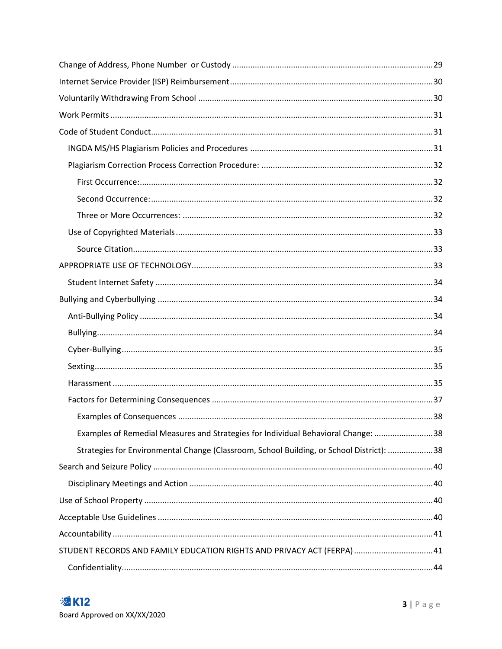| Examples of Remedial Measures and Strategies for Individual Behavioral Change: 38        |  |
|------------------------------------------------------------------------------------------|--|
| Strategies for Environmental Change (Classroom, School Building, or School District): 38 |  |
|                                                                                          |  |
|                                                                                          |  |
|                                                                                          |  |
|                                                                                          |  |
|                                                                                          |  |
| STUDENT RECORDS AND FAMILY EDUCATION RIGHTS AND PRIVACY ACT (FERPA)  41                  |  |
|                                                                                          |  |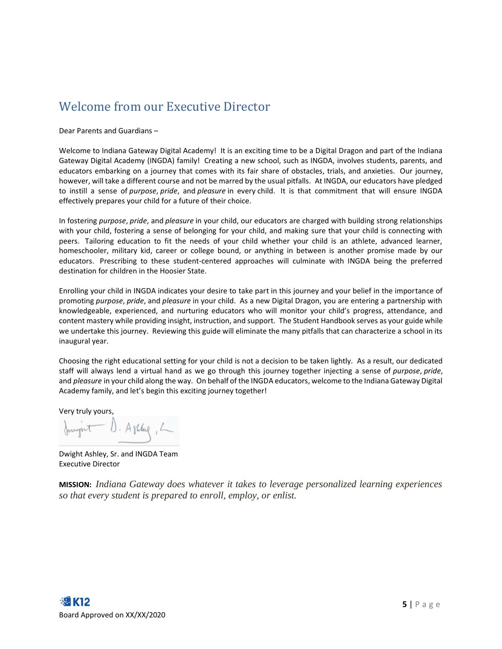### <span id="page-5-0"></span>Welcome from our Executive Director

Dear Parents and Guardians –

Welcome to Indiana Gateway Digital Academy! It is an exciting time to be a Digital Dragon and part of the Indiana Gateway Digital Academy (INGDA) family! Creating a new school, such as INGDA, involves students, parents, and educators embarking on a journey that comes with its fair share of obstacles, trials, and anxieties. Our journey, however, will take a different course and not be marred by the usual pitfalls. At INGDA, our educators have pledged to instill a sense of *purpose*, *pride*, and *pleasure* in every child. It is that commitment that will ensure INGDA effectively prepares your child for a future of their choice.

In fostering *purpose*, *pride*, and *pleasure* in your child, our educators are charged with building strong relationships with your child, fostering a sense of belonging for your child, and making sure that your child is connecting with peers. Tailoring education to fit the needs of your child whether your child is an athlete, advanced learner, homeschooler, military kid, career or college bound, or anything in between is another promise made by our educators. Prescribing to these student-centered approaches will culminate with INGDA being the preferred destination for children in the Hoosier State.

Enrolling your child in INGDA indicates your desire to take part in this journey and your belief in the importance of promoting *purpose*, *pride*, and *pleasure* in your child. As a new Digital Dragon, you are entering a partnership with knowledgeable, experienced, and nurturing educators who will monitor your child's progress, attendance, and content mastery while providing insight, instruction, and support. The Student Handbook serves as your guide while we undertake this journey. Reviewing this guide will eliminate the many pitfalls that can characterize a school in its inaugural year.

Choosing the right educational setting for your child is not a decision to be taken lightly. As a result, our dedicated staff will always lend a virtual hand as we go through this journey together injecting a sense of *purpose*, *pride*, and *pleasure* in your child along the way. On behalf of the INGDA educators, welcome to the Indiana Gateway Digital Academy family, and let's begin this exciting journey together!

Very truly yours,

Sonight D. Apply, L

Dwight Ashley, Sr. and INGDA Team Executive Director

**MISSION:** *Indiana Gateway does whatever it takes to leverage personalized learning experiences so that every student is prepared to enroll, employ, or enlist.*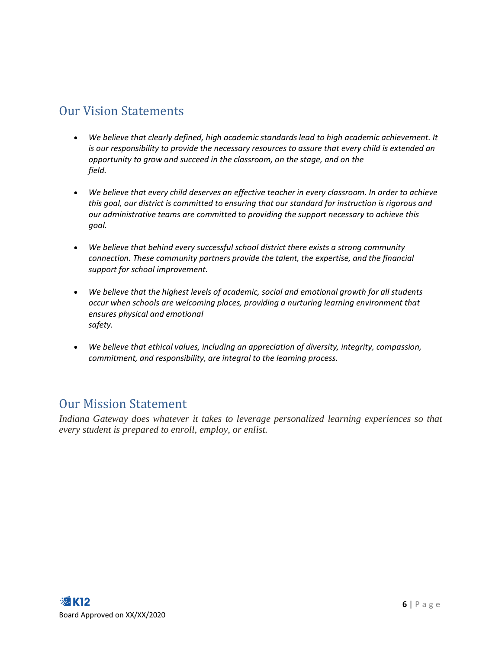### <span id="page-6-0"></span>Our Vision Statements

- *We believe that clearly defined, high academic standards lead to high academic achievement. It is our responsibility to provide the necessary resources to assure that every child is extended an opportunity to grow and succeed in the classroom, on the stage, and on the field.*
- *We believe that every child deserves an effective teacher in every classroom. In order to achieve this goal, our district is committed to ensuring that our standard for instruction is rigorous and our administrative teams are committed to providing the support necessary to achieve this goal.*
- *We believe that behind every successful school district there exists a strong community connection. These community partners provide the talent, the expertise, and the financial support for school improvement.*
- *We believe that the highest levels of academic, social and emotional growth for all students occur when schools are welcoming places, providing a nurturing learning environment that ensures physical and emotional safety.*
- *We believe that ethical values, including an appreciation of diversity, integrity, compassion, commitment, and responsibility, are integral to the learning process.*

### <span id="page-6-1"></span>Our Mission Statement

*Indiana Gateway does whatever it takes to leverage personalized learning experiences so that every student is prepared to enroll, employ, or enlist.*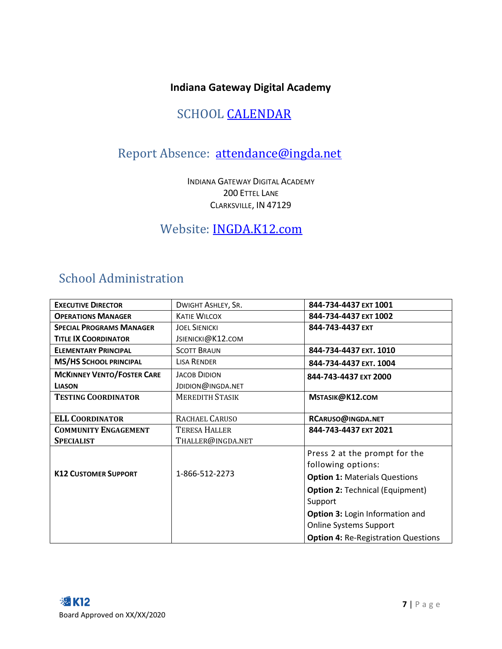### **Indiana Gateway Digital Academy**

### SCHOOL **CALENDAR**

### <span id="page-7-1"></span><span id="page-7-0"></span>Report Absence: [attendance@ingda.net](mailto:attendance@ingda.net)

INDIANA GATEWAY DIGITAL ACADEMY 200 ETTEL LANE CLARKSVILLE, IN 47129

### <span id="page-7-2"></span>Website: INGDA.K12.com

### <span id="page-7-3"></span>School Administration

| <b>EXECUTIVE DIRECTOR</b>         | DWIGHT ASHLEY, SR.     | 844-734-4437 EXT 1001                      |
|-----------------------------------|------------------------|--------------------------------------------|
| <b>OPERATIONS MANAGER</b>         | <b>KATIE WILCOX</b>    | 844-734-4437 EXT 1002                      |
| <b>SPECIAL PROGRAMS MANAGER</b>   | <b>JOEL SIENICKI</b>   | 844-743-4437 EXT                           |
| <b>TITLE IX COORDINATOR</b>       | JSIENICKI@K12.COM      |                                            |
| <b>ELEMENTARY PRINCIPAL</b>       | <b>SCOTT BRAUN</b>     | 844-734-4437 EXT. 1010                     |
| <b>MS/HS SCHOOL PRINCIPAL</b>     | <b>LISA RENDER</b>     | 844-734-4437 EXT. 1004                     |
| <b>MCKINNEY VENTO/FOSTER CARE</b> | <b>JACOB DIDION</b>    | 844-743-4437 EXT 2000                      |
| <b>LIASON</b>                     | JDIDION@INGDA.NET      |                                            |
| <b>TESTING COORDINATOR</b>        | <b>MEREDITH STASIK</b> | MSTASIK@K12.COM                            |
|                                   |                        |                                            |
| <b>ELL COORDINATOR</b>            | RACHAEL CARUSO         | RCARUSO@INGDA.NET                          |
| <b>COMMUNITY ENGAGEMENT</b>       | <b>TERESA HALLER</b>   | 844-743-4437 EXT 2021                      |
| <b>SPECIALIST</b>                 | THALLER@INGDA.NET      |                                            |
|                                   |                        | Press 2 at the prompt for the              |
|                                   | 1-866-512-2273         | following options:                         |
| <b>K12 CUSTOMER SUPPORT</b>       |                        | <b>Option 1: Materials Questions</b>       |
|                                   |                        | <b>Option 2: Technical (Equipment)</b>     |
|                                   |                        | Support                                    |
|                                   |                        | Option 3: Login Information and            |
|                                   |                        | <b>Online Systems Support</b>              |
|                                   |                        | <b>Option 4: Re-Registration Questions</b> |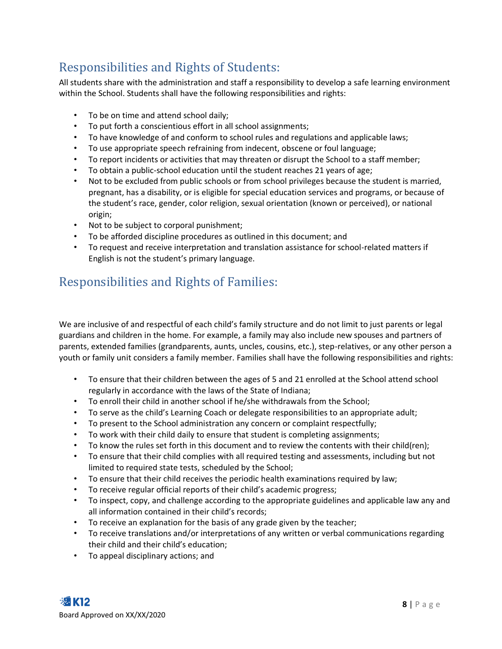### <span id="page-8-0"></span>Responsibilities and Rights of Students:

All students share with the administration and staff a responsibility to develop a safe learning environment within the School. Students shall have the following responsibilities and rights:

- To be on time and attend school daily;
- To put forth a conscientious effort in all school assignments;
- To have knowledge of and conform to school rules and regulations and applicable laws;
- To use appropriate speech refraining from indecent, obscene or foul language;
- To report incidents or activities that may threaten or disrupt the School to a staff member;
- To obtain a public-school education until the student reaches 21 years of age;
- Not to be excluded from public schools or from school privileges because the student is married, pregnant, has a disability, or is eligible for special education services and programs, or because of the student's race, gender, color religion, sexual orientation (known or perceived), or national origin;
- Not to be subject to corporal punishment;
- To be afforded discipline procedures as outlined in this document; and
- To request and receive interpretation and translation assistance for school-related matters if English is not the student's primary language.

### <span id="page-8-1"></span>Responsibilities and Rights of Families:

We are inclusive of and respectful of each child's family structure and do not limit to just parents or legal guardians and children in the home. For example, a family may also include new spouses and partners of parents, extended families (grandparents, aunts, uncles, cousins, etc.), step-relatives, or any other person a youth or family unit considers a family member. Families shall have the following responsibilities and rights:

- To ensure that their children between the ages of 5 and 21 enrolled at the School attend school regularly in accordance with the laws of the State of Indiana;
- To enroll their child in another school if he/she withdrawals from the School;
- To serve as the child's Learning Coach or delegate responsibilities to an appropriate adult;
- To present to the School administration any concern or complaint respectfully;
- To work with their child daily to ensure that student is completing assignments;
- To know the rules set forth in this document and to review the contents with their child(ren);
- To ensure that their child complies with all required testing and assessments, including but not limited to required state tests, scheduled by the School;
- To ensure that their child receives the periodic health examinations required by law;
- To receive regular official reports of their child's academic progress;
- To inspect, copy, and challenge according to the appropriate guidelines and applicable law any and all information contained in their child's records;
- To receive an explanation for the basis of any grade given by the teacher;
- To receive translations and/or interpretations of any written or verbal communications regarding their child and their child's education;
- To appeal disciplinary actions; and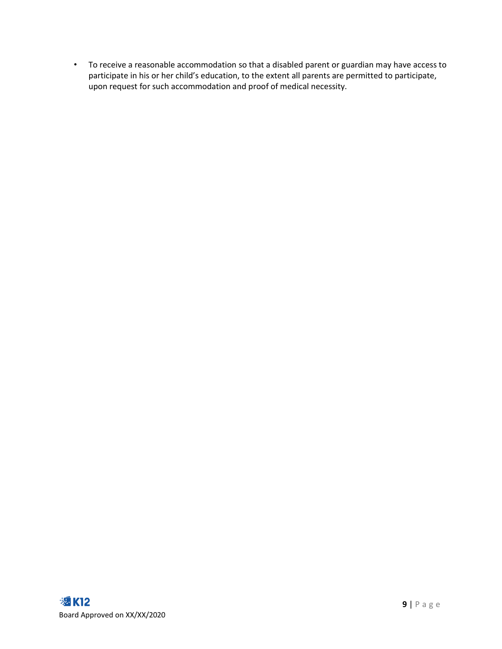• To receive a reasonable accommodation so that a disabled parent or guardian may have access to participate in his or her child's education, to the extent all parents are permitted to participate, upon request for such accommodation and proof of medical necessity.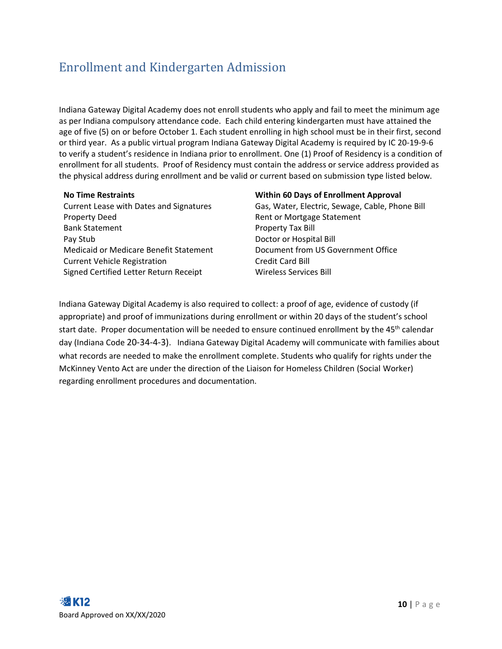### <span id="page-10-0"></span>Enrollment and Kindergarten Admission

Indiana Gateway Digital Academy does not enroll students who apply and fail to meet the minimum age as per Indiana compulsory attendance code. Each child entering kindergarten must have attained the age of five (5) on or before October 1. Each student enrolling in high school must be in their first, second or third year. As a public virtual program Indiana Gateway Digital Academy is required by IC 20-19-9-6 to verify a student's residence in Indiana prior to enrollment. One (1) Proof of Residency is a condition of enrollment for all students. Proof of Residency must contain the address or service address provided as the physical address during enrollment and be valid or current based on submission type listed below.

Property Deed **Rent of Mortgage Statement** Bank Statement **Property Tax Bill** Pay Stub Doctor or Hospital Bill Medicaid or Medicare Benefit Statement Document from US Government Office Current Vehicle Registration Current Vehicle Registration Signed Certified Letter Return Receipt Wireless Services Bill

#### **No Time Restraints Within 60 Days of Enrollment Approval**

Current Lease with Dates and Signatures Gas, Water, Electric, Sewage, Cable, Phone Bill

Indiana Gateway Digital Academy is also required to collect: a proof of age, evidence of custody (if appropriate) and proof of immunizations during enrollment or within 20 days of the student's school start date. Proper documentation will be needed to ensure continued enrollment by the 45<sup>th</sup> calendar day (Indiana Code 20-34-4-3). Indiana Gateway Digital Academy will communicate with families about what records are needed to make the enrollment complete. Students who qualify for rights under the McKinney Vento Act are under the direction of the Liaison for Homeless Children (Social Worker) regarding enrollment procedures and documentation.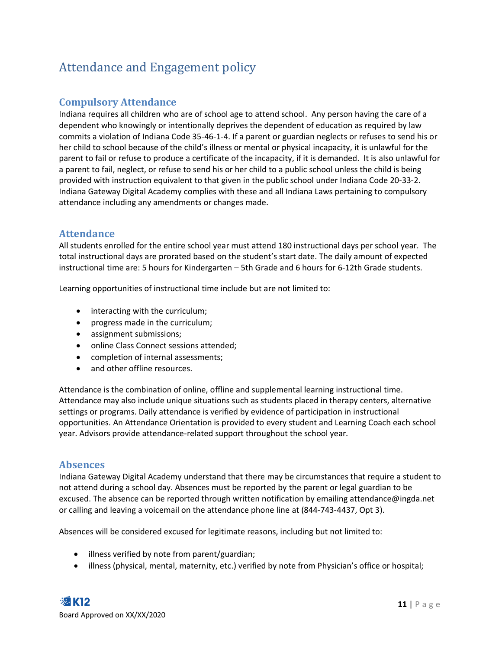### <span id="page-11-0"></span>Attendance and Engagement policy

#### <span id="page-11-1"></span>**Compulsory Attendance**

Indiana requires all children who are of school age to attend school. Any person having the care of a dependent who knowingly or intentionally deprives the dependent of education as required by law commits a violation of Indiana Code 35-46-1-4. If a parent or guardian neglects or refuses to send his or her child to school because of the child's illness or mental or physical incapacity, it is unlawful for the parent to fail or refuse to produce a certificate of the incapacity, if it is demanded. It is also unlawful for a parent to fail, neglect, or refuse to send his or her child to a public school unless the child is being provided with instruction equivalent to that given in the public school under Indiana Code 20-33-2. Indiana Gateway Digital Academy complies with these and all Indiana Laws pertaining to compulsory attendance including any amendments or changes made.

#### <span id="page-11-2"></span>**Attendance**

All students enrolled for the entire school year must attend 180 instructional days per school year. The total instructional days are prorated based on the student's start date. The daily amount of expected instructional time are: 5 hours for Kindergarten – 5th Grade and 6 hours for 6-12th Grade students.

Learning opportunities of instructional time include but are not limited to:

- interacting with the curriculum;
- progress made in the curriculum;
- assignment submissions;
- online Class Connect sessions attended;
- completion of internal assessments;
- and other offline resources.

Attendance is the combination of online, offline and supplemental learning instructional time. Attendance may also include unique situations such as students placed in therapy centers, alternative settings or programs. Daily attendance is verified by evidence of participation in instructional opportunities. An Attendance Orientation is provided to every student and Learning Coach each school year. Advisors provide attendance-related support throughout the school year.

#### <span id="page-11-3"></span>**Absences**

Indiana Gateway Digital Academy understand that there may be circumstances that require a student to not attend during a school day. Absences must be reported by the parent or legal guardian to be excused. The absence can be reported through written notification by emailing attendance@ingda.net or calling and leaving a voicemail on the attendance phone line at (844-743-4437, Opt 3).

Absences will be considered excused for legitimate reasons, including but not limited to:

- illness verified by note from parent/guardian;
- illness (physical, mental, maternity, etc.) verified by note from Physician's office or hospital;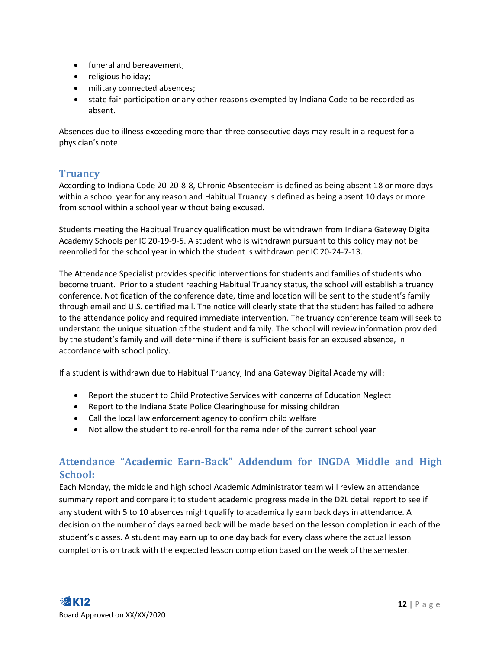- funeral and bereavement;
- religious holiday;
- military connected absences;
- state fair participation or any other reasons exempted by Indiana Code to be recorded as absent.

Absences due to illness exceeding more than three consecutive days may result in a request for a physician's note.

#### <span id="page-12-0"></span>**Truancy**

According to Indiana Code 20-20-8-8, Chronic Absenteeism is defined as being absent 18 or more days within a school year for any reason and Habitual Truancy is defined as being absent 10 days or more from school within a school year without being excused.

Students meeting the Habitual Truancy qualification must be withdrawn from Indiana Gateway Digital Academy Schools per IC 20-19-9-5. A student who is withdrawn pursuant to this policy may not be reenrolled for the school year in which the student is withdrawn per IC 20-24-7-13.

The Attendance Specialist provides specific interventions for students and families of students who become truant. Prior to a student reaching Habitual Truancy status, the school will establish a truancy conference. Notification of the conference date, time and location will be sent to the student's family through email and U.S. certified mail. The notice will clearly state that the student has failed to adhere to the attendance policy and required immediate intervention. The truancy conference team will seek to understand the unique situation of the student and family. The school will review information provided by the student's family and will determine if there is sufficient basis for an excused absence, in accordance with school policy.

If a student is withdrawn due to Habitual Truancy, Indiana Gateway Digital Academy will:

- Report the student to Child Protective Services with concerns of Education Neglect
- Report to the Indiana State Police Clearinghouse for missing children
- Call the local law enforcement agency to confirm child welfare
- Not allow the student to re-enroll for the remainder of the current school year

#### <span id="page-12-1"></span>**Attendance "Academic Earn-Back" Addendum for INGDA Middle and High School:**

Each Monday, the middle and high school Academic Administrator team will review an attendance summary report and compare it to student academic progress made in the D2L detail report to see if any student with 5 to 10 absences might qualify to academically earn back days in attendance. A decision on the number of days earned back will be made based on the lesson completion in each of the student's classes. A student may earn up to one day back for every class where the actual lesson completion is on track with the expected lesson completion based on the week of the semester.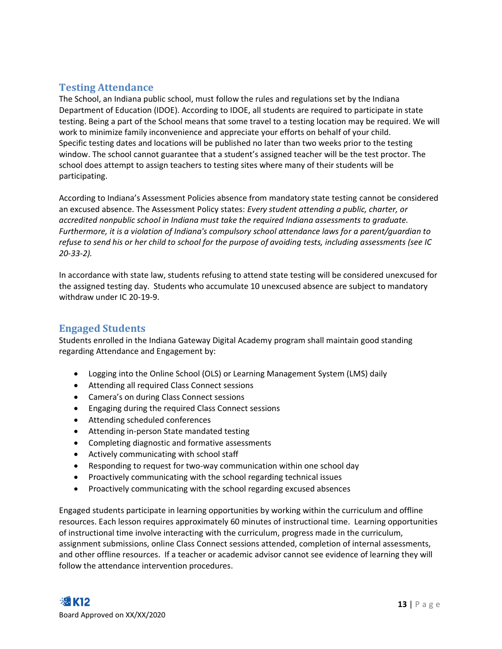#### <span id="page-13-0"></span>**Testing Attendance**

The School, an Indiana public school, must follow the rules and regulations set by the Indiana Department of Education (IDOE). According to IDOE, all students are required to participate in state testing. Being a part of the School means that some travel to a testing location may be required. We will work to minimize family inconvenience and appreciate your efforts on behalf of your child. Specific testing dates and locations will be published no later than two weeks prior to the testing window. The school cannot guarantee that a student's assigned teacher will be the test proctor. The school does attempt to assign teachers to testing sites where many of their students will be participating.

According to Indiana's Assessment Policies absence from mandatory state testing cannot be considered an excused absence. The Assessment Policy states: *Every student attending a public, charter, or accredited nonpublic school in Indiana must take the required Indiana assessments to graduate. Furthermore, it is a violation of Indiana's compulsory school attendance laws for a parent/guardian to refuse to send his or her child to school for the purpose of avoiding tests, including assessments (see IC 20-33-2).*

In accordance with state law, students refusing to attend state testing will be considered unexcused for the assigned testing day. Students who accumulate 10 unexcused absence are subject to mandatory withdraw under IC 20-19-9.

#### <span id="page-13-1"></span>**Engaged Students**

Students enrolled in the Indiana Gateway Digital Academy program shall maintain good standing regarding Attendance and Engagement by:

- Logging into the Online School (OLS) or Learning Management System (LMS) daily
- Attending all required Class Connect sessions
- Camera's on during Class Connect sessions
- Engaging during the required Class Connect sessions
- Attending scheduled conferences
- Attending in-person State mandated testing
- Completing diagnostic and formative assessments
- Actively communicating with school staff
- Responding to request for two-way communication within one school day
- Proactively communicating with the school regarding technical issues
- Proactively communicating with the school regarding excused absences

Engaged students participate in learning opportunities by working within the curriculum and offline resources. Each lesson requires approximately 60 minutes of instructional time. Learning opportunities of instructional time involve interacting with the curriculum, progress made in the curriculum, assignment submissions, online Class Connect sessions attended, completion of internal assessments, and other offline resources. If a teacher or academic advisor cannot see evidence of learning they will follow the attendance intervention procedures.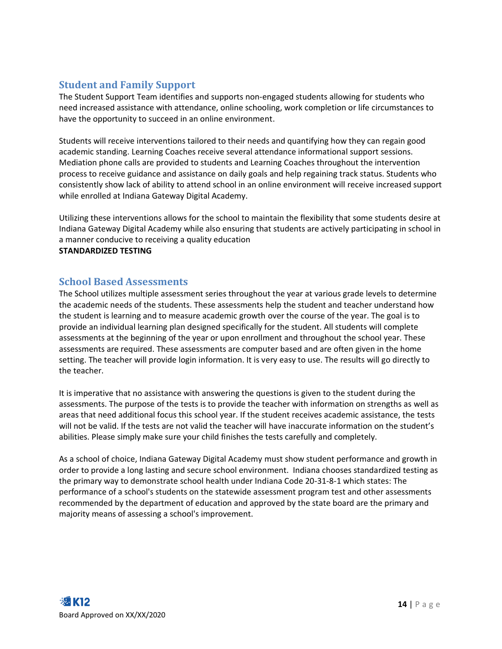#### <span id="page-14-0"></span>**Student and Family Support**

The Student Support Team identifies and supports non-engaged students allowing for students who need increased assistance with attendance, online schooling, work completion or life circumstances to have the opportunity to succeed in an online environment.

Students will receive interventions tailored to their needs and quantifying how they can regain good academic standing. Learning Coaches receive several attendance informational support sessions. Mediation phone calls are provided to students and Learning Coaches throughout the intervention process to receive guidance and assistance on daily goals and help regaining track status. Students who consistently show lack of ability to attend school in an online environment will receive increased support while enrolled at Indiana Gateway Digital Academy.

Utilizing these interventions allows for the school to maintain the flexibility that some students desire at Indiana Gateway Digital Academy while also ensuring that students are actively participating in school in a manner conducive to receiving a quality education

#### **STANDARDIZED TESTING**

#### <span id="page-14-1"></span>**School Based Assessments**

The School utilizes multiple assessment series throughout the year at various grade levels to determine the academic needs of the students. These assessments help the student and teacher understand how the student is learning and to measure academic growth over the course of the year. The goal is to provide an individual learning plan designed specifically for the student. All students will complete assessments at the beginning of the year or upon enrollment and throughout the school year. These assessments are required. These assessments are computer based and are often given in the home setting. The teacher will provide login information. It is very easy to use. The results will go directly to the teacher.

It is imperative that no assistance with answering the questions is given to the student during the assessments. The purpose of the tests is to provide the teacher with information on strengths as well as areas that need additional focus this school year. If the student receives academic assistance, the tests will not be valid. If the tests are not valid the teacher will have inaccurate information on the student's abilities. Please simply make sure your child finishes the tests carefully and completely.

As a school of choice, Indiana Gateway Digital Academy must show student performance and growth in order to provide a long lasting and secure school environment. Indiana chooses standardized testing as the primary way to demonstrate school health under Indiana Code 20-31-8-1 which states: The performance of a school's students on the statewide assessment program test and other assessments recommended by the department of education and approved by the state board are the primary and majority means of assessing a school's improvement.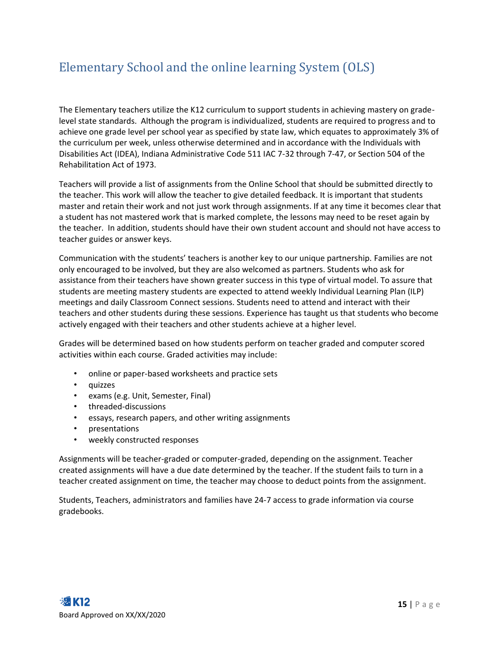### <span id="page-15-0"></span>Elementary School and the online learning System (OLS)

The Elementary teachers utilize the K12 curriculum to support students in achieving mastery on gradelevel state standards. Although the program is individualized, students are required to progress and to achieve one grade level per school year as specified by state law, which equates to approximately 3% of the curriculum per week, unless otherwise determined and in accordance with the Individuals with Disabilities Act (IDEA), Indiana Administrative Code 511 IAC 7-32 through 7-47, or Section 504 of the Rehabilitation Act of 1973.

Teachers will provide a list of assignments from the Online School that should be submitted directly to the teacher. This work will allow the teacher to give detailed feedback. It is important that students master and retain their work and not just work through assignments. If at any time it becomes clear that a student has not mastered work that is marked complete, the lessons may need to be reset again by the teacher. In addition, students should have their own student account and should not have access to teacher guides or answer keys.

Communication with the students' teachers is another key to our unique partnership. Families are not only encouraged to be involved, but they are also welcomed as partners. Students who ask for assistance from their teachers have shown greater success in this type of virtual model. To assure that students are meeting mastery students are expected to attend weekly Individual Learning Plan (ILP) meetings and daily Classroom Connect sessions. Students need to attend and interact with their teachers and other students during these sessions. Experience has taught us that students who become actively engaged with their teachers and other students achieve at a higher level.

Grades will be determined based on how students perform on teacher graded and computer scored activities within each course. Graded activities may include:

- online or paper-based worksheets and practice sets
- quizzes
- exams (e.g. Unit, Semester, Final)
- threaded-discussions
- essays, research papers, and other writing assignments
- presentations
- weekly constructed responses

Assignments will be teacher-graded or computer-graded, depending on the assignment. Teacher created assignments will have a due date determined by the teacher. If the student fails to turn in a teacher created assignment on time, the teacher may choose to deduct points from the assignment.

Students, Teachers, administrators and families have 24-7 access to grade information via course gradebooks.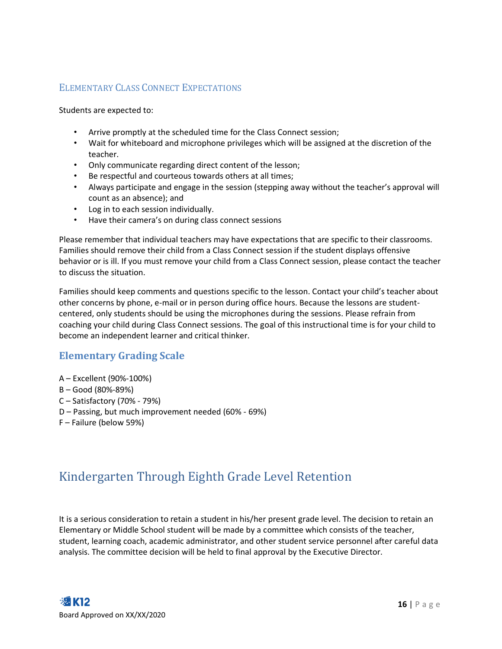#### <span id="page-16-0"></span>ELEMENTARY CLASS CONNECT EXPECTATIONS

Students are expected to:

- Arrive promptly at the scheduled time for the Class Connect session;
- Wait for whiteboard and microphone privileges which will be assigned at the discretion of the teacher.
- Only communicate regarding direct content of the lesson;
- Be respectful and courteous towards others at all times;
- Always participate and engage in the session (stepping away without the teacher's approval will count as an absence); and
- Log in to each session individually.
- Have their camera's on during class connect sessions

Please remember that individual teachers may have expectations that are specific to their classrooms. Families should remove their child from a Class Connect session if the student displays offensive behavior or is ill. If you must remove your child from a Class Connect session, please contact the teacher to discuss the situation.

Families should keep comments and questions specific to the lesson. Contact your child's teacher about other concerns by phone, e-mail or in person during office hours. Because the lessons are studentcentered, only students should be using the microphones during the sessions. Please refrain from coaching your child during Class Connect sessions. The goal of this instructional time is for your child to become an independent learner and critical thinker.

#### <span id="page-16-1"></span>**Elementary Grading Scale**

- A Excellent (90%-100%)
- B Good (80%-89%)
- C Satisfactory (70% 79%)
- D Passing, but much improvement needed (60% 69%)
- F Failure (below 59%)

### <span id="page-16-2"></span>Kindergarten Through Eighth Grade Level Retention

It is a serious consideration to retain a student in his/her present grade level. The decision to retain an Elementary or Middle School student will be made by a committee which consists of the teacher, student, learning coach, academic administrator, and other student service personnel after careful data analysis. The committee decision will be held to final approval by the Executive Director.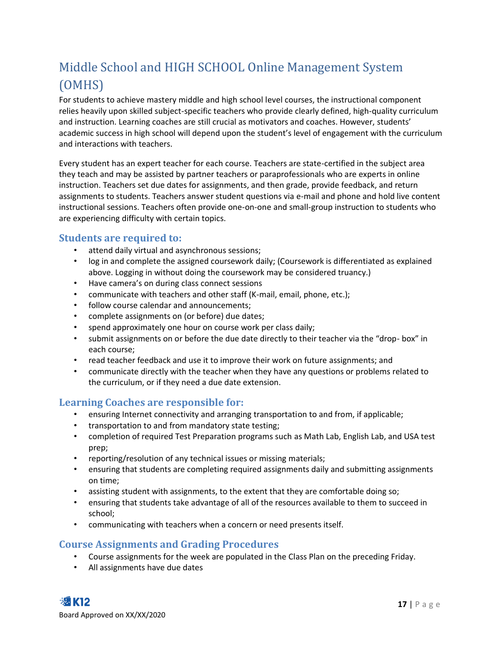## <span id="page-17-0"></span>Middle School and HIGH SCHOOL Online Management System (OMHS)

For students to achieve mastery middle and high school level courses, the instructional component relies heavily upon skilled subject-specific teachers who provide clearly defined, high-quality curriculum and instruction. Learning coaches are still crucial as motivators and coaches. However, students' academic success in high school will depend upon the student's level of engagement with the curriculum and interactions with teachers.

Every student has an expert teacher for each course. Teachers are state-certified in the subject area they teach and may be assisted by partner teachers or paraprofessionals who are experts in online instruction. Teachers set due dates for assignments, and then grade, provide feedback, and return assignments to students. Teachers answer student questions via e-mail and phone and hold live content instructional sessions. Teachers often provide one-on-one and small-group instruction to students who are experiencing difficulty with certain topics.

#### <span id="page-17-1"></span>**Students are required to:**

- attend daily virtual and asynchronous sessions;
- log in and complete the assigned coursework daily; (Coursework is differentiated as explained above. Logging in without doing the coursework may be considered truancy.)
- Have camera's on during class connect sessions
- communicate with teachers and other staff (K-mail, email, phone, etc.);
- follow course calendar and announcements;
- complete assignments on (or before) due dates;
- spend approximately one hour on course work per class daily;
- submit assignments on or before the due date directly to their teacher via the "drop- box" in each course;
- read teacher feedback and use it to improve their work on future assignments; and
- communicate directly with the teacher when they have any questions or problems related to the curriculum, or if they need a due date extension.

#### <span id="page-17-2"></span>**Learning Coaches are responsible for:**

- ensuring Internet connectivity and arranging transportation to and from, if applicable;
- transportation to and from mandatory state testing;
- completion of required Test Preparation programs such as Math Lab, English Lab, and USA test prep;
- reporting/resolution of any technical issues or missing materials;
- ensuring that students are completing required assignments daily and submitting assignments on time;
- assisting student with assignments, to the extent that they are comfortable doing so;
- ensuring that students take advantage of all of the resources available to them to succeed in school;
- communicating with teachers when a concern or need presents itself.

#### <span id="page-17-3"></span>**Course Assignments and Grading Procedures**

- Course assignments for the week are populated in the Class Plan on the preceding Friday.
- All assignments have due dates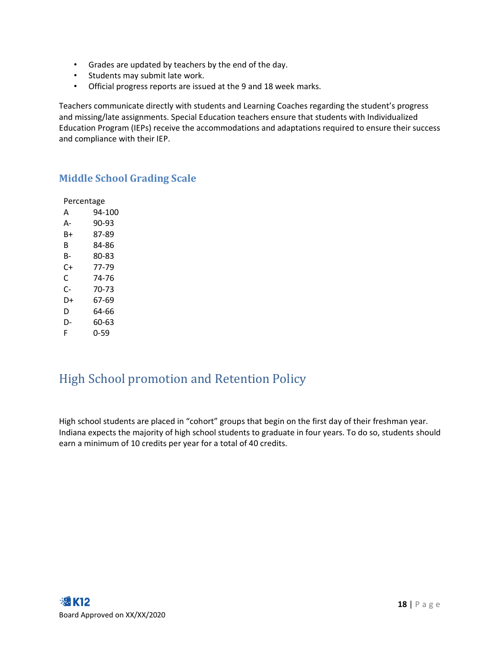- Grades are updated by teachers by the end of the day.
- Students may submit late work.
- Official progress reports are issued at the 9 and 18 week marks.

Teachers communicate directly with students and Learning Coaches regarding the student's progress and missing/late assignments. Special Education teachers ensure that students with Individualized Education Program (IEPs) receive the accommodations and adaptations required to ensure their success and compliance with their IEP.

#### <span id="page-18-0"></span>**Middle School Grading Scale**

| Percentage |        |
|------------|--------|
| А          | 94-100 |
| А-         | 90-93  |
| R+         | 87-89  |
| R          | 84-86  |
| B-         | 80-83  |
| C+         | 77-79  |
| C          | 74-76  |
| C-         | 70-73  |
| D+         | 67-69  |
| D          | 64-66  |
| D-         | 60-63  |
| F          | 0-59   |

### <span id="page-18-1"></span>High School promotion and Retention Policy

High school students are placed in "cohort" groups that begin on the first day of their freshman year. Indiana expects the majority of high school students to graduate in four years. To do so, students should earn a minimum of 10 credits per year for a total of 40 credits.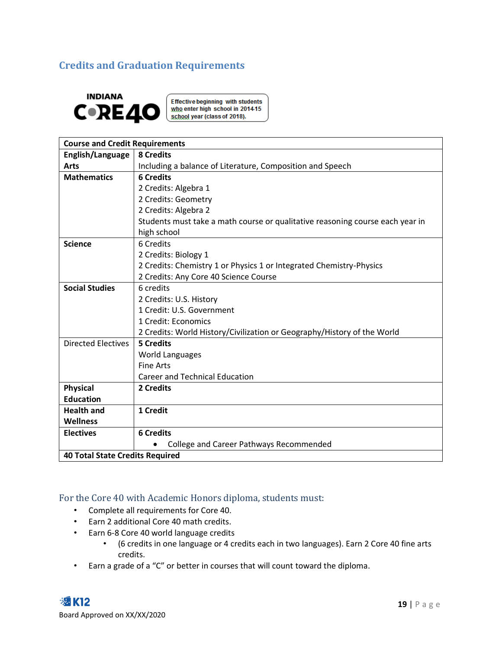#### <span id="page-19-0"></span>**Credits and Graduation Requirements**



**Effective beginning with students** who enter high school in 2014-15<br>school year (class of 2018).

| <b>Course and Credit Requirements</b>  |                                                                               |  |  |
|----------------------------------------|-------------------------------------------------------------------------------|--|--|
| English/Language                       | 8 Credits                                                                     |  |  |
| <b>Arts</b>                            | Including a balance of Literature, Composition and Speech                     |  |  |
| <b>Mathematics</b>                     | <b>6 Credits</b>                                                              |  |  |
|                                        | 2 Credits: Algebra 1                                                          |  |  |
|                                        | 2 Credits: Geometry                                                           |  |  |
|                                        | 2 Credits: Algebra 2                                                          |  |  |
|                                        | Students must take a math course or qualitative reasoning course each year in |  |  |
|                                        | high school                                                                   |  |  |
| <b>Science</b>                         | 6 Credits                                                                     |  |  |
|                                        | 2 Credits: Biology 1                                                          |  |  |
|                                        | 2 Credits: Chemistry 1 or Physics 1 or Integrated Chemistry-Physics           |  |  |
|                                        | 2 Credits: Any Core 40 Science Course                                         |  |  |
| <b>Social Studies</b>                  | 6 credits                                                                     |  |  |
|                                        | 2 Credits: U.S. History                                                       |  |  |
|                                        | 1 Credit: U.S. Government                                                     |  |  |
|                                        | 1 Credit: Economics                                                           |  |  |
|                                        | 2 Credits: World History/Civilization or Geography/History of the World       |  |  |
| <b>Directed Electives</b>              | 5 Credits                                                                     |  |  |
|                                        | <b>World Languages</b>                                                        |  |  |
|                                        | <b>Fine Arts</b>                                                              |  |  |
|                                        | <b>Career and Technical Education</b>                                         |  |  |
| <b>Physical</b>                        | 2 Credits                                                                     |  |  |
| <b>Education</b>                       |                                                                               |  |  |
| <b>Health and</b>                      | 1 Credit                                                                      |  |  |
| <b>Wellness</b>                        |                                                                               |  |  |
| <b>Electives</b>                       | <b>6 Credits</b>                                                              |  |  |
|                                        | College and Career Pathways Recommended                                       |  |  |
| <b>40 Total State Credits Required</b> |                                                                               |  |  |

#### <span id="page-19-1"></span>For the Core 40 with Academic Honors diploma, students must:

- Complete all requirements for Core 40.
- Earn 2 additional Core 40 math credits.
- Earn 6-8 Core 40 world language credits
	- (6 credits in one language or 4 credits each in two languages). Earn 2 Core 40 fine arts credits.
- Earn a grade of a "C" or better in courses that will count toward the diploma.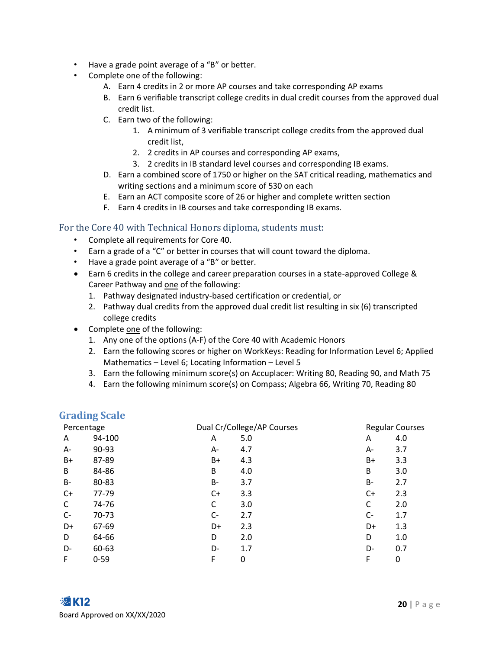- Have a grade point average of a "B" or better.
- Complete one of the following:
	- A. Earn 4 credits in 2 or more AP courses and take corresponding AP exams
	- B. Earn 6 verifiable transcript college credits in dual credit courses from the approved dual credit list.
	- C. Earn two of the following:
		- 1. A minimum of 3 verifiable transcript college credits from the approved dual credit list,
		- 2. 2 credits in AP courses and corresponding AP exams,
		- 3. 2 credits in IB standard level courses and corresponding IB exams.
	- D. Earn a combined score of 1750 or higher on the SAT critical reading, mathematics and writing sections and a minimum score of 530 on each
	- E. Earn an ACT composite score of 26 or higher and complete written section
	- F. Earn 4 credits in IB courses and take corresponding IB exams.

#### <span id="page-20-0"></span>For the Core 40 with Technical Honors diploma, students must:

- Complete all requirements for Core 40.
- Earn a grade of a "C" or better in courses that will count toward the diploma.
- Have a grade point average of a "B" or better.
- Earn 6 credits in the college and career preparation courses in a state-approved College & Career Pathway and one of the following:
	- 1. Pathway designated industry-based certification or credential, or
	- 2. Pathway dual credits from the approved dual credit list resulting in six (6) transcripted college credits
- Complete one of the following:
	- 1. Any one of the options (A-F) of the Core 40 with Academic Honors
	- 2. Earn the following scores or higher on WorkKeys: Reading for Information Level 6; Applied Mathematics – Level 6; Locating Information – Level 5
	- 3. Earn the following minimum score(s) on Accuplacer: Writing 80, Reading 90, and Math 75
	- 4. Earn the following minimum score(s) on Compass; Algebra 66, Writing 70, Reading 80

#### <span id="page-20-1"></span>**Grading Scale**

| Percentage |          |           | Dual Cr/College/AP Courses |      | <b>Regular Courses</b> |
|------------|----------|-----------|----------------------------|------|------------------------|
| A          | 94-100   | A         | 5.0                        | A    | 4.0                    |
| А-         | 90-93    | А-        | 4.7                        | A-   | 3.7                    |
| B+         | 87-89    | B+        | 4.3                        | $B+$ | 3.3                    |
| B          | 84-86    | B         | 4.0                        | B    | 3.0                    |
| B-         | 80-83    | <b>B-</b> | 3.7                        | B-   | 2.7                    |
| $C+$       | 77-79    | C+        | 3.3                        | C+   | 2.3                    |
| C          | 74-76    | C         | 3.0                        | C    | 2.0                    |
| $C-$       | 70-73    | $C-$      | 2.7                        | C-   | 1.7                    |
| D+         | 67-69    | D+        | 2.3                        | D+   | 1.3                    |
| D          | 64-66    | D         | 2.0                        | D    | 1.0                    |
| D-         | 60-63    | D-        | 1.7                        | D-   | 0.7                    |
| F          | $0 - 59$ | F         | 0                          | F    | 0                      |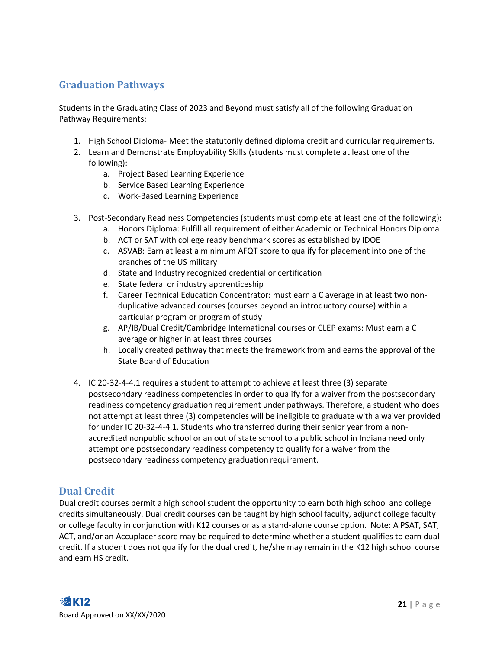#### <span id="page-21-0"></span>**Graduation Pathways**

Students in the Graduating Class of 2023 and Beyond must satisfy all of the following Graduation Pathway Requirements:

- 1. High School Diploma- Meet the statutorily defined diploma credit and curricular requirements.
- 2. Learn and Demonstrate Employability Skills (students must complete at least one of the following):
	- a. Project Based Learning Experience
	- b. Service Based Learning Experience
	- c. Work-Based Learning Experience
- 3. Post-Secondary Readiness Competencies (students must complete at least one of the following):
	- a. Honors Diploma: Fulfill all requirement of either Academic or Technical Honors Diploma
	- b. ACT or SAT with college ready benchmark scores as established by IDOE
	- c. ASVAB: Earn at least a minimum AFQT score to qualify for placement into one of the branches of the US military
	- d. State and Industry recognized credential or certification
	- e. State federal or industry apprenticeship
	- f. Career Technical Education Concentrator: must earn a C average in at least two nonduplicative advanced courses (courses beyond an introductory course) within a particular program or program of study
	- g. AP/IB/Dual Credit/Cambridge International courses or CLEP exams: Must earn a C average or higher in at least three courses
	- h. Locally created pathway that meets the framework from and earns the approval of the State Board of Education
- 4. IC 20-32-4-4.1 requires a student to attempt to achieve at least three (3) separate postsecondary readiness competencies in order to qualify for a waiver from the postsecondary readiness competency graduation requirement under pathways. Therefore, a student who does not attempt at least three (3) competencies will be ineligible to graduate with a waiver provided for under IC 20-32-4-4.1. Students who transferred during their senior year from a nonaccredited nonpublic school or an out of state school to a public school in Indiana need only attempt one postsecondary readiness competency to qualify for a waiver from the postsecondary readiness competency graduation requirement.

#### <span id="page-21-1"></span>**Dual Credit**

Dual credit courses permit a high school student the opportunity to earn both high school and college credits simultaneously. Dual credit courses can be taught by high school faculty, adjunct college faculty or college faculty in conjunction with K12 courses or as a stand-alone course option. Note: A PSAT, SAT, ACT, and/or an Accuplacer score may be required to determine whether a student qualifies to earn dual credit. If a student does not qualify for the dual credit, he/she may remain in the K12 high school course and earn HS credit.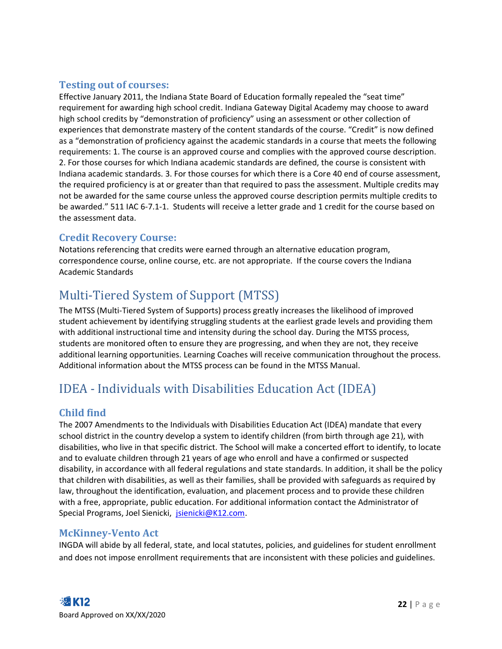#### <span id="page-22-0"></span>**Testing out of courses:**

Effective January 2011, the Indiana State Board of Education formally repealed the "seat time" requirement for awarding high school credit. Indiana Gateway Digital Academy may choose to award high school credits by "demonstration of proficiency" using an assessment or other collection of experiences that demonstrate mastery of the content standards of the course. "Credit" is now defined as a "demonstration of proficiency against the academic standards in a course that meets the following requirements: 1. The course is an approved course and complies with the approved course description. 2. For those courses for which Indiana academic standards are defined, the course is consistent with Indiana academic standards. 3. For those courses for which there is a Core 40 end of course assessment, the required proficiency is at or greater than that required to pass the assessment. Multiple credits may not be awarded for the same course unless the approved course description permits multiple credits to be awarded." 511 IAC 6-7.1-1. Students will receive a letter grade and 1 credit for the course based on the assessment data.

#### <span id="page-22-1"></span>**Credit Recovery Course:**

Notations referencing that credits were earned through an alternative education program, correspondence course, online course, etc. are not appropriate. If the course covers the Indiana Academic Standards

### <span id="page-22-2"></span>Multi-Tiered System of Support (MTSS)

The MTSS (Multi-Tiered System of Supports) process greatly increases the likelihood of improved student achievement by identifying struggling students at the earliest grade levels and providing them with additional instructional time and intensity during the school day. During the MTSS process, students are monitored often to ensure they are progressing, and when they are not, they receive additional learning opportunities. Learning Coaches will receive communication throughout the process. Additional information about the MTSS process can be found in the MTSS Manual.

### <span id="page-22-3"></span>IDEA - Individuals with Disabilities Education Act (IDEA)

#### <span id="page-22-4"></span>**Child find**

The 2007 Amendments to the Individuals with Disabilities Education Act (IDEA) mandate that every school district in the country develop a system to identify children (from birth through age 21), with disabilities, who live in that specific district. The School will make a concerted effort to identify, to locate and to evaluate children through 21 years of age who enroll and have a confirmed or suspected disability, in accordance with all federal regulations and state standards. In addition, it shall be the policy that children with disabilities, as well as their families, shall be provided with safeguards as required by law, throughout the identification, evaluation, and placement process and to provide these children with a free, appropriate, public education. For additional information contact the Administrator of Special Programs, Joel Sienicki, [jsienicki@K12.com.](mailto:jsienicki@K12.com)

#### <span id="page-22-5"></span>**McKinney-Vento Act**

INGDA will abide by all federal, state, and local statutes, policies, and guidelines for student enrollment and does not impose enrollment requirements that are inconsistent with these policies and guidelines.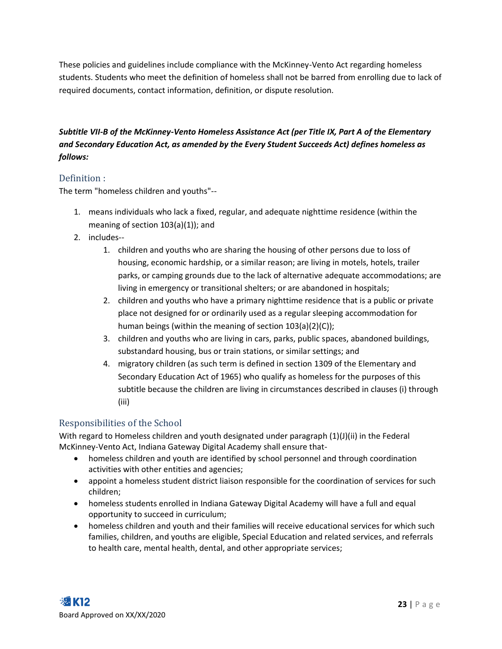These policies and guidelines include compliance with the McKinney-Vento Act regarding homeless students. Students who meet the definition of homeless shall not be barred from enrolling due to lack of required documents, contact information, definition, or dispute resolution.

#### *Subtitle VII-B of the McKinney-Vento Homeless Assistance Act (per Title IX, Part A of the Elementary and Secondary Education Act, as amended by the Every Student Succeeds Act) defines homeless as follows:*

#### <span id="page-23-0"></span>Definition :

The term "homeless children and youths"--

- 1. means individuals who lack a fixed, regular, and adequate nighttime residence (within the meaning of section 103(a)(1)); and
- 2. includes--
	- 1. children and youths who are sharing the housing of other persons due to loss of housing, economic hardship, or a similar reason; are living in motels, hotels, trailer parks, or camping grounds due to the lack of alternative adequate accommodations; are living in emergency or transitional shelters; or are abandoned in hospitals;
	- 2. children and youths who have a primary nighttime residence that is a public or private place not designed for or ordinarily used as a regular sleeping accommodation for human beings (within the meaning of section 103(a)(2)(C));
	- 3. children and youths who are living in cars, parks, public spaces, abandoned buildings, substandard housing, bus or train stations, or similar settings; and
	- 4. migratory children (as such term is defined in section 1309 of the Elementary and Secondary Education Act of 1965) who qualify as homeless for the purposes of this subtitle because the children are living in circumstances described in clauses (i) through (iii)

#### <span id="page-23-1"></span>Responsibilities of the School

With regard to Homeless children and youth designated under paragraph (1)(J)(ii) in the Federal McKinney-Vento Act, Indiana Gateway Digital Academy shall ensure that-

- homeless children and youth are identified by school personnel and through coordination activities with other entities and agencies;
- appoint a homeless student district liaison responsible for the coordination of services for such children;
- homeless students enrolled in Indiana Gateway Digital Academy will have a full and equal opportunity to succeed in curriculum;
- homeless children and youth and their families will receive educational services for which such families, children, and youths are eligible, Special Education and related services, and referrals to health care, mental health, dental, and other appropriate services;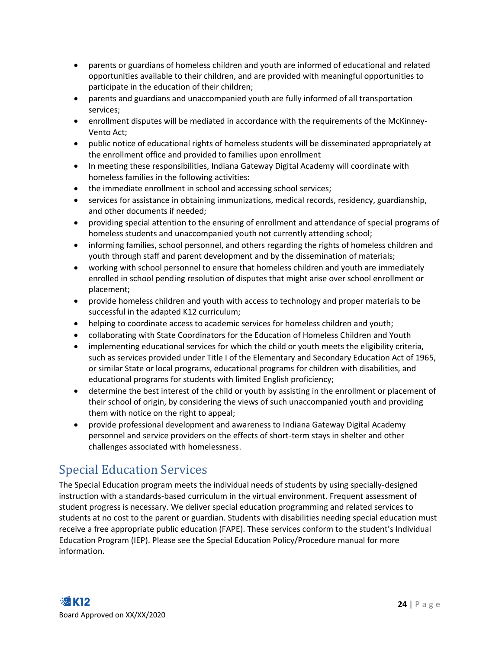- parents or guardians of homeless children and youth are informed of educational and related opportunities available to their children, and are provided with meaningful opportunities to participate in the education of their children;
- parents and guardians and unaccompanied youth are fully informed of all transportation services;
- enrollment disputes will be mediated in accordance with the requirements of the McKinney-Vento Act;
- public notice of educational rights of homeless students will be disseminated appropriately at the enrollment office and provided to families upon enrollment
- In meeting these responsibilities, Indiana Gateway Digital Academy will coordinate with homeless families in the following activities:
- the immediate enrollment in school and accessing school services;
- services for assistance in obtaining immunizations, medical records, residency, guardianship, and other documents if needed;
- providing special attention to the ensuring of enrollment and attendance of special programs of homeless students and unaccompanied youth not currently attending school;
- informing families, school personnel, and others regarding the rights of homeless children and youth through staff and parent development and by the dissemination of materials;
- working with school personnel to ensure that homeless children and youth are immediately enrolled in school pending resolution of disputes that might arise over school enrollment or placement;
- provide homeless children and youth with access to technology and proper materials to be successful in the adapted K12 curriculum;
- helping to coordinate access to academic services for homeless children and youth;
- collaborating with State Coordinators for the Education of Homeless Children and Youth
- implementing educational services for which the child or youth meets the eligibility criteria, such as services provided under Title I of the Elementary and Secondary Education Act of 1965, or similar State or local programs, educational programs for children with disabilities, and educational programs for students with limited English proficiency;
- determine the best interest of the child or youth by assisting in the enrollment or placement of their school of origin, by considering the views of such unaccompanied youth and providing them with notice on the right to appeal;
- provide professional development and awareness to Indiana Gateway Digital Academy personnel and service providers on the effects of short-term stays in shelter and other challenges associated with homelessness.

### <span id="page-24-0"></span>Special Education Services

The Special Education program meets the individual needs of students by using specially-designed instruction with a standards-based curriculum in the virtual environment. Frequent assessment of student progress is necessary. We deliver special education programming and related services to students at no cost to the parent or guardian. Students with disabilities needing special education must receive a free appropriate public education (FAPE). These services conform to the student's Individual Education Program (IEP). Please see the Special Education Policy/Procedure manual for more information.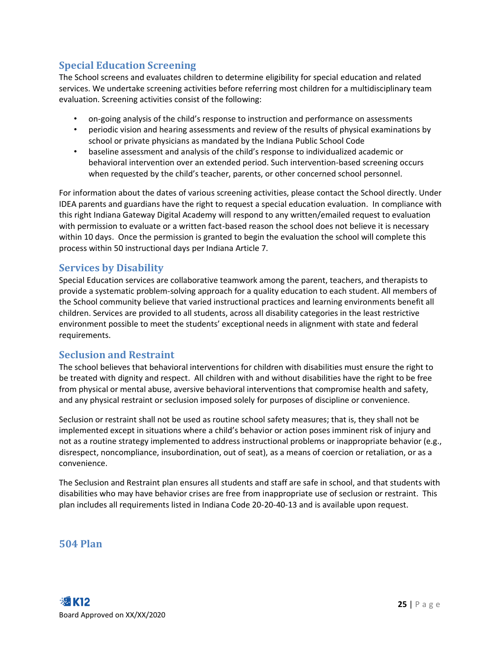#### <span id="page-25-0"></span>**Special Education Screening**

The School screens and evaluates children to determine eligibility for special education and related services. We undertake screening activities before referring most children for a multidisciplinary team evaluation. Screening activities consist of the following:

- on-going analysis of the child's response to instruction and performance on assessments
- periodic vision and hearing assessments and review of the results of physical examinations by school or private physicians as mandated by the Indiana Public School Code
- baseline assessment and analysis of the child's response to individualized academic or behavioral intervention over an extended period. Such intervention-based screening occurs when requested by the child's teacher, parents, or other concerned school personnel.

For information about the dates of various screening activities, please contact the School directly. Under IDEA parents and guardians have the right to request a special education evaluation. In compliance with this right Indiana Gateway Digital Academy will respond to any written/emailed request to evaluation with permission to evaluate or a written fact-based reason the school does not believe it is necessary within 10 days. Once the permission is granted to begin the evaluation the school will complete this process within 50 instructional days per Indiana Article 7.

#### <span id="page-25-1"></span>**Services by Disability**

Special Education services are collaborative teamwork among the parent, teachers, and therapists to provide a systematic problem-solving approach for a quality education to each student. All members of the School community believe that varied instructional practices and learning environments benefit all children. Services are provided to all students, across all disability categories in the least restrictive environment possible to meet the students' exceptional needs in alignment with state and federal requirements.

#### <span id="page-25-2"></span>**Seclusion and Restraint**

The school believes that behavioral interventions for children with disabilities must ensure the right to be treated with dignity and respect. All children with and without disabilities have the right to be free from physical or mental abuse, aversive behavioral interventions that compromise health and safety, and any physical restraint or seclusion imposed solely for purposes of discipline or convenience.

Seclusion or restraint shall not be used as routine school safety measures; that is, they shall not be implemented except in situations where a child's behavior or action poses imminent risk of injury and not as a routine strategy implemented to address instructional problems or inappropriate behavior (e.g., disrespect, noncompliance, insubordination, out of seat), as a means of coercion or retaliation, or as a convenience.

The Seclusion and Restraint plan ensures all students and staff are safe in school, and that students with disabilities who may have behavior crises are free from inappropriate use of seclusion or restraint. This plan includes all requirements listed in Indiana Code 20-20-40-13 and is available upon request.

#### <span id="page-25-3"></span>**504 Plan**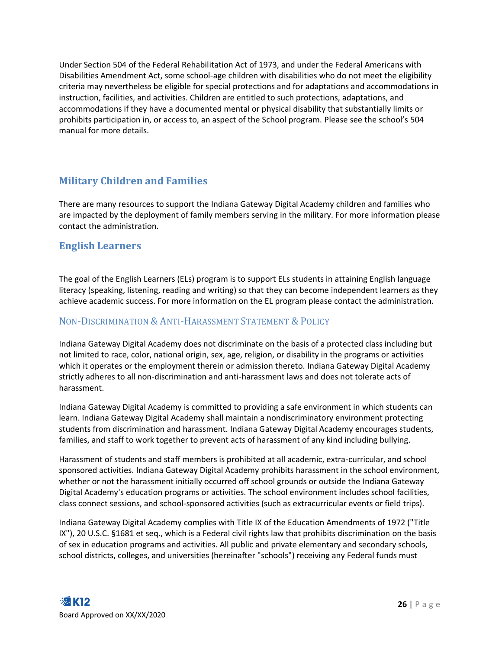Under Section 504 of the Federal Rehabilitation Act of 1973, and under the Federal Americans with Disabilities Amendment Act, some school-age children with disabilities who do not meet the eligibility criteria may nevertheless be eligible for special protections and for adaptations and accommodations in instruction, facilities, and activities. Children are entitled to such protections, adaptations, and accommodations if they have a documented mental or physical disability that substantially limits or prohibits participation in, or access to, an aspect of the School program. Please see the school's 504 manual for more details.

#### <span id="page-26-0"></span>**Military Children and Families**

There are many resources to support the Indiana Gateway Digital Academy children and families who are impacted by the deployment of family members serving in the military. For more information please contact the administration.

#### <span id="page-26-1"></span>**English Learners**

The goal of the English Learners (ELs) program is to support ELs students in attaining English language literacy (speaking, listening, reading and writing) so that they can become independent learners as they achieve academic success. For more information on the EL program please contact the administration.

#### <span id="page-26-2"></span>NON-DISCRIMINATION & ANTI-HARASSMENT STATEMENT & POLICY

Indiana Gateway Digital Academy does not discriminate on the basis of a protected class including but not limited to race, color, national origin, sex, age, religion, or disability in the programs or activities which it operates or the employment therein or admission thereto. Indiana Gateway Digital Academy strictly adheres to all non-discrimination and anti-harassment laws and does not tolerate acts of harassment.

Indiana Gateway Digital Academy is committed to providing a safe environment in which students can learn. Indiana Gateway Digital Academy shall maintain a nondiscriminatory environment protecting students from discrimination and harassment. Indiana Gateway Digital Academy encourages students, families, and staff to work together to prevent acts of harassment of any kind including bullying.

Harassment of students and staff members is prohibited at all academic, extra-curricular, and school sponsored activities. Indiana Gateway Digital Academy prohibits harassment in the school environment, whether or not the harassment initially occurred off school grounds or outside the Indiana Gateway Digital Academy's education programs or activities. The school environment includes school facilities, class connect sessions, and school-sponsored activities (such as extracurricular events or field trips).

Indiana Gateway Digital Academy complies with Title IX of the Education Amendments of 1972 ("Title IX"), 20 U.S.C. §1681 et seq., which is a Federal civil rights law that prohibits discrimination on the basis of sex in education programs and activities. All public and private elementary and secondary schools, school districts, colleges, and universities (hereinafter "schools") receiving any Federal funds must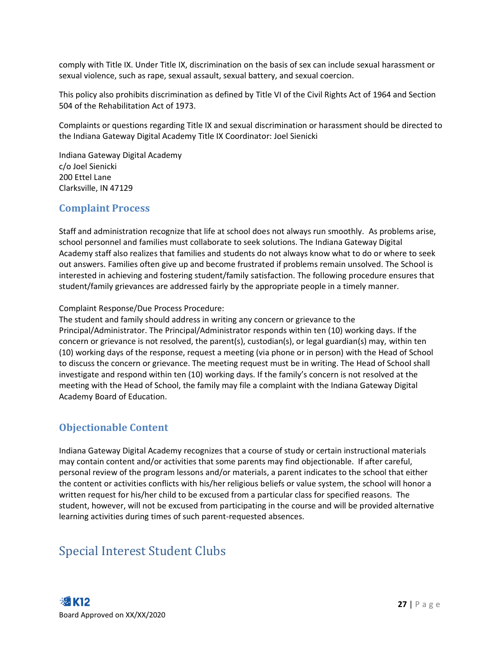comply with Title IX. Under Title IX, discrimination on the basis of sex can include sexual harassment or sexual violence, such as rape, sexual assault, sexual battery, and sexual coercion.

This policy also prohibits discrimination as defined by Title VI of the Civil Rights Act of 1964 and Section 504 of the Rehabilitation Act of 1973.

Complaints or questions regarding Title IX and sexual discrimination or harassment should be directed to the Indiana Gateway Digital Academy Title IX Coordinator: Joel Sienicki

Indiana Gateway Digital Academy c/o Joel Sienicki 200 Ettel Lane Clarksville, IN 47129

#### <span id="page-27-0"></span>**Complaint Process**

Staff and administration recognize that life at school does not always run smoothly. As problems arise, school personnel and families must collaborate to seek solutions. The Indiana Gateway Digital Academy staff also realizes that families and students do not always know what to do or where to seek out answers. Families often give up and become frustrated if problems remain unsolved. The School is interested in achieving and fostering student/family satisfaction. The following procedure ensures that student/family grievances are addressed fairly by the appropriate people in a timely manner.

Complaint Response/Due Process Procedure:

The student and family should address in writing any concern or grievance to the Principal/Administrator. The Principal/Administrator responds within ten (10) working days. If the concern or grievance is not resolved, the parent(s), custodian(s), or legal guardian(s) may, within ten (10) working days of the response, request a meeting (via phone or in person) with the Head of School to discuss the concern or grievance. The meeting request must be in writing. The Head of School shall investigate and respond within ten (10) working days. If the family's concern is not resolved at the meeting with the Head of School, the family may file a complaint with the Indiana Gateway Digital Academy Board of Education.

#### <span id="page-27-1"></span>**Objectionable Content**

Indiana Gateway Digital Academy recognizes that a course of study or certain instructional materials may contain content and/or activities that some parents may find objectionable. If after careful, personal review of the program lessons and/or materials, a parent indicates to the school that either the content or activities conflicts with his/her religious beliefs or value system, the school will honor a written request for his/her child to be excused from a particular class for specified reasons. The student, however, will not be excused from participating in the course and will be provided alternative learning activities during times of such parent-requested absences.

### <span id="page-27-2"></span>Special Interest Student Clubs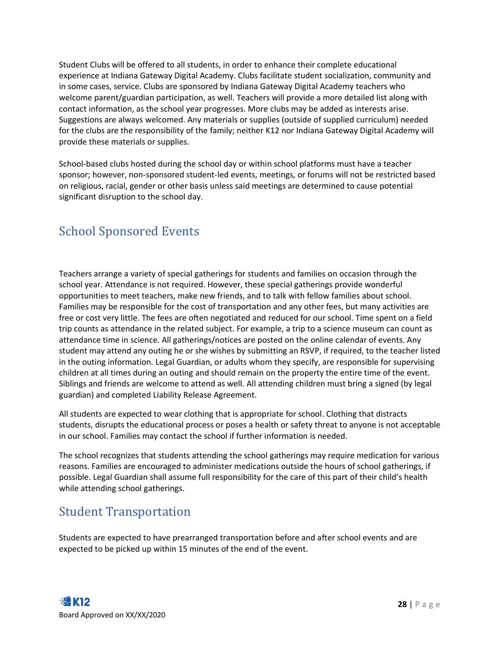Student Clubs will be offered to all students, in order to enhance their complete educational experience at Indiana Gateway Digital Academy. Clubs facilitate student socialization, community and in some cases, service. Clubs are sponsored by Indiana Gateway Digital Academy teachers who welcome parent/guardian participation, as well. Teachers will provide a more detailed list along with contact information, as the school year progresses. More clubs may be added as interests arise. Suggestions are always welcomed. Any materials or supplies (outside of supplied curriculum) needed for the clubs are the responsibility of the family; neither K12 nor Indiana Gateway Digital Academy will provide these materials or supplies.

School-based clubs hosted during the school day or within school platforms must have a teacher sponsor; however, non-sponsored student-led events, meetings, or forums will not be restricted based on religious, racial, gender or other basis unless said meetings are determined to cause potential significant disruption to the school day.

### <span id="page-28-0"></span>School Sponsored Events

Teachers arrange a variety of special gatherings for students and families on occasion through the school year. Attendance is not required. However, these special gatherings provide wonderful opportunities to meet teachers, make new friends, and to talk with fellow families about school. Families may be responsible for the cost of transportation and any other fees, but many activities are free or cost very little. The fees are often negotiated and reduced for our school. Time spent on a field trip counts as attendance in the related subject. For example, a trip to a science museum can count as attendance time in science. All gatherings/notices are posted on the online calendar of events. Any student may attend any outing he or she wishes by submitting an RSVP, if required, to the teacher listed in the outing information. Legal Guardian, or adults whom they specify, are responsible for supervising children at all times during an outing and should remain on the property the entire time of the event. Siblings and friends are welcome to attend as well. All attending children must bring a signed (by legal guardian) and completed Liability Release Agreement.

All students are expected to wear clothing that is appropriate for school. Clothing that distracts students, disrupts the educational process or poses a health or safety threat to anyone is not acceptable in our school. Families may contact the school if further information is needed.

The school recognizes that students attending the school gatherings may require medication for various reasons. Families are encouraged to administer medications outside the hours of school gatherings, if possible. Legal Guardian shall assume full responsibility for the care of this part of their child's health while attending school gatherings.

### <span id="page-28-1"></span>Student Transportation

Students are expected to have prearranged transportation before and after school events and are expected to be picked up within 15 minutes of the end of the event.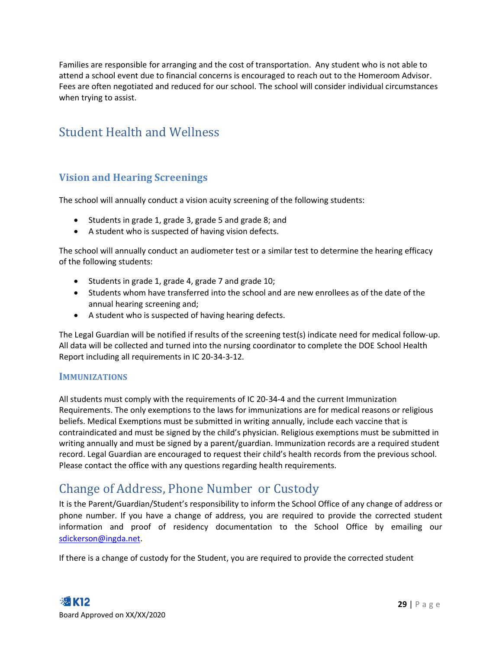Families are responsible for arranging and the cost of transportation. Any student who is not able to attend a school event due to financial concerns is encouraged to reach out to the Homeroom Advisor. Fees are often negotiated and reduced for our school. The school will consider individual circumstances when trying to assist.

### <span id="page-29-0"></span>Student Health and Wellness

#### <span id="page-29-1"></span>**Vision and Hearing Screenings**

The school will annually conduct a vision acuity screening of the following students:

- Students in grade 1, grade 3, grade 5 and grade 8; and
- A student who is suspected of having vision defects.

The school will annually conduct an audiometer test or a similar test to determine the hearing efficacy of the following students:

- Students in grade 1, grade 4, grade 7 and grade 10;
- Students whom have transferred into the school and are new enrollees as of the date of the annual hearing screening and;
- A student who is suspected of having hearing defects.

The Legal Guardian will be notified if results of the screening test(s) indicate need for medical follow-up. All data will be collected and turned into the nursing coordinator to complete the DOE School Health Report including all requirements in IC 20-34-3-12.

#### <span id="page-29-2"></span>**IMMUNIZATIONS**

All students must comply with the requirements of IC 20-34-4 and the current Immunization Requirements. The only exemptions to the laws for immunizations are for medical reasons or religious beliefs. Medical Exemptions must be submitted in writing annually, include each vaccine that is contraindicated and must be signed by the child's physician. Religious exemptions must be submitted in writing annually and must be signed by a parent/guardian. Immunization records are a required student record. Legal Guardian are encouraged to request their child's health records from the previous school. Please contact the office with any questions regarding health requirements.

### <span id="page-29-3"></span>Change of Address, Phone Number or Custody

It is the Parent/Guardian/Student's responsibility to inform the School Office of any change of address or phone number. If you have a change of address, you are required to provide the corrected student information and proof of residency documentation to the School Office by emailing our [sdickerson@ingda.net.](mailto:sdickerson@ingda.net)

If there is a change of custody for the Student, you are required to provide the corrected student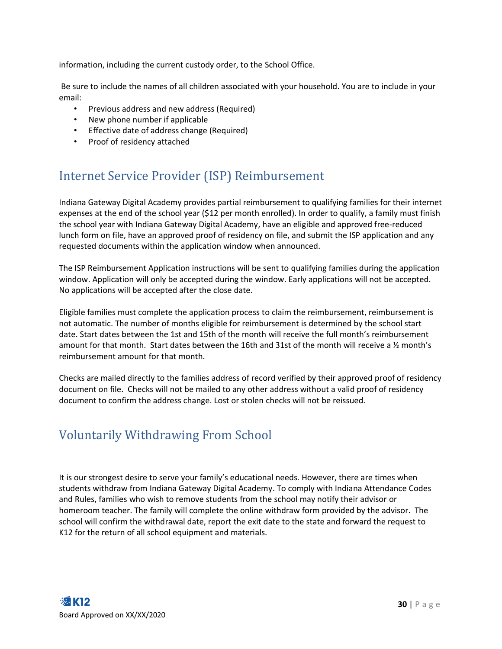information, including the current custody order, to the School Office.

Be sure to include the names of all children associated with your household. You are to include in your email:

- Previous address and new address (Required)
- New phone number if applicable
- Effective date of address change (Required)
- Proof of residency attached

### <span id="page-30-0"></span>Internet Service Provider (ISP) Reimbursement

Indiana Gateway Digital Academy provides partial reimbursement to qualifying families for their internet expenses at the end of the school year (\$12 per month enrolled). In order to qualify, a family must finish the school year with Indiana Gateway Digital Academy, have an eligible and approved free-reduced lunch form on file, have an approved proof of residency on file, and submit the ISP application and any requested documents within the application window when announced.

The ISP Reimbursement Application instructions will be sent to qualifying families during the application window. Application will only be accepted during the window. Early applications will not be accepted. No applications will be accepted after the close date.

Eligible families must complete the application process to claim the reimbursement, reimbursement is not automatic. The number of months eligible for reimbursement is determined by the school start date. Start dates between the 1st and 15th of the month will receive the full month's reimbursement amount for that month. Start dates between the 16th and 31st of the month will receive a ½ month's reimbursement amount for that month.

Checks are mailed directly to the families address of record verified by their approved proof of residency document on file. Checks will not be mailed to any other address without a valid proof of residency document to confirm the address change. Lost or stolen checks will not be reissued.

### <span id="page-30-1"></span>Voluntarily Withdrawing From School

It is our strongest desire to serve your family's educational needs. However, there are times when students withdraw from Indiana Gateway Digital Academy. To comply with Indiana Attendance Codes and Rules, families who wish to remove students from the school may notify their advisor or homeroom teacher. The family will complete the online withdraw form provided by the advisor. The school will confirm the withdrawal date, report the exit date to the state and forward the request to K12 for the return of all school equipment and materials.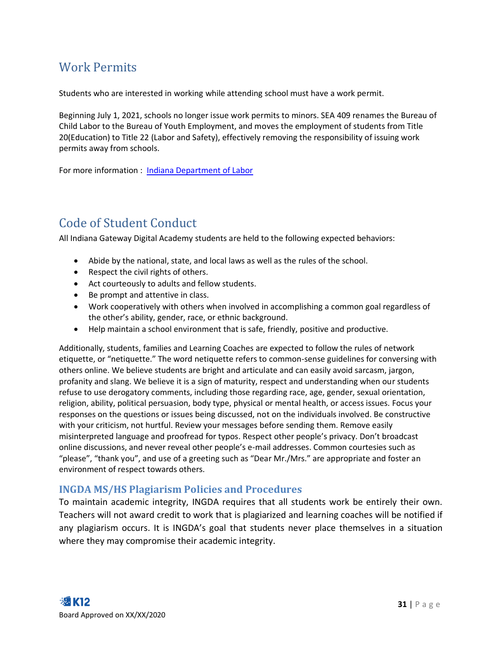### <span id="page-31-0"></span>Work Permits

Students who are interested in working while attending school must have a work permit.

Beginning July 1, 2021, schools no longer issue work permits to minors. SEA 409 renames the Bureau of Child Labor to the Bureau of Youth Employment, and moves the employment of students from Title 20(Education) to Title 22 (Labor and Safety), effectively removing the responsibility of issuing work permits away from schools.

For more information : [Indiana Department of Labor](https://www.in.gov/dol/youth-employment/youth-employment-home/)

### <span id="page-31-1"></span>Code of Student Conduct

All Indiana Gateway Digital Academy students are held to the following expected behaviors:

- Abide by the national, state, and local laws as well as the rules of the school.
- Respect the civil rights of others.
- Act courteously to adults and fellow students.
- Be prompt and attentive in class.
- Work cooperatively with others when involved in accomplishing a common goal regardless of the other's ability, gender, race, or ethnic background.
- Help maintain a school environment that is safe, friendly, positive and productive.

Additionally, students, families and Learning Coaches are expected to follow the rules of network etiquette, or "netiquette." The word netiquette refers to common-sense guidelines for conversing with others online. We believe students are bright and articulate and can easily avoid sarcasm, jargon, profanity and slang. We believe it is a sign of maturity, respect and understanding when our students refuse to use derogatory comments, including those regarding race, age, gender, sexual orientation, religion, ability, political persuasion, body type, physical or mental health, or access issues. Focus your responses on the questions or issues being discussed, not on the individuals involved. Be constructive with your criticism, not hurtful. Review your messages before sending them. Remove easily misinterpreted language and proofread for typos. Respect other people's privacy. Don't broadcast online discussions, and never reveal other people's e-mail addresses. Common courtesies such as "please", "thank you", and use of a greeting such as "Dear Mr./Mrs." are appropriate and foster an environment of respect towards others.

#### <span id="page-31-2"></span>**INGDA MS/HS Plagiarism Policies and Procedures**

To maintain academic integrity, INGDA requires that all students work be entirely their own. Teachers will not award credit to work that is plagiarized and learning coaches will be notified if any plagiarism occurs. It is INGDA's goal that students never place themselves in a situation where they may compromise their academic integrity.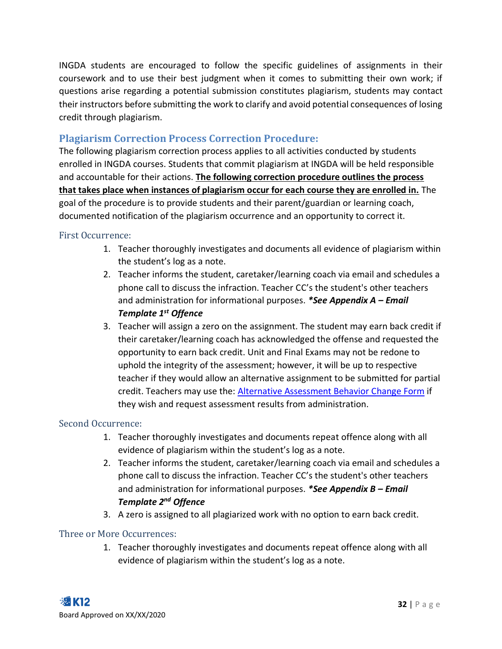INGDA students are encouraged to follow the specific guidelines of assignments in their coursework and to use their best judgment when it comes to submitting their own work; if questions arise regarding a potential submission constitutes plagiarism, students may contact their instructors before submitting the work to clarify and avoid potential consequences of losing credit through plagiarism.

#### <span id="page-32-0"></span>**Plagiarism Correction Process Correction Procedure:**

The following plagiarism correction process applies to all activities conducted by students enrolled in INGDA courses. Students that commit plagiarism at INGDA will be held responsible and accountable for their actions. **The following correction procedure outlines the process that takes place when instances of plagiarism occur for each course they are enrolled in.** The goal of the procedure is to provide students and their parent/guardian or learning coach, documented notification of the plagiarism occurrence and an opportunity to correct it.

#### <span id="page-32-1"></span>First Occurrence:

- 1. Teacher thoroughly investigates and documents all evidence of plagiarism within the student's log as a note.
- 2. Teacher informs the student, caretaker/learning coach via email and schedules a phone call to discuss the infraction. Teacher CC's the student's other teachers and administration for informational purposes. *\*See Appendix A – Email Template 1st Offence*
- 3. Teacher will assign a zero on the assignment. The student may earn back credit if their caretaker/learning coach has acknowledged the offense and requested the opportunity to earn back credit. Unit and Final Exams may not be redone to uphold the integrity of the assessment; however, it will be up to respective teacher if they would allow an alternative assignment to be submitted for partial credit. Teachers may use the: [Alternative Assessment Behavior Change Form](https://forms.office.com/r/0PGcWYBDW3) if they wish and request assessment results from administration.

#### <span id="page-32-2"></span>Second Occurrence:

- 1. Teacher thoroughly investigates and documents repeat offence along with all evidence of plagiarism within the student's log as a note.
- 2. Teacher informs the student, caretaker/learning coach via email and schedules a phone call to discuss the infraction. Teacher CC's the student's other teachers and administration for informational purposes. *\*See Appendix B – Email Template 2nd Offence*
- 3. A zero is assigned to all plagiarized work with no option to earn back credit.

#### <span id="page-32-3"></span>Three or More Occurrences:

1. Teacher thoroughly investigates and documents repeat offence along with all evidence of plagiarism within the student's log as a note.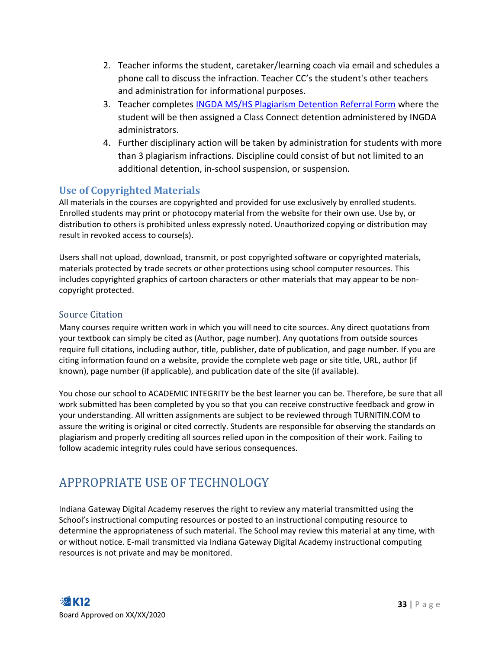- 2. Teacher informs the student, caretaker/learning coach via email and schedules a phone call to discuss the infraction. Teacher CC's the student's other teachers and administration for informational purposes.
- 3. Teacher completes [INGDA MS/HS Plagiarism Detention Referral Form](https://forms.office.com/r/8dHsLyfYTM) where the student will be then assigned a Class Connect detention administered by INGDA administrators.
- 4. Further disciplinary action will be taken by administration for students with more than 3 plagiarism infractions. Discipline could consist of but not limited to an additional detention, in-school suspension, or suspension.

#### <span id="page-33-0"></span>**Use of Copyrighted Materials**

All materials in the courses are copyrighted and provided for use exclusively by enrolled students. Enrolled students may print or photocopy material from the website for their own use. Use by, or distribution to others is prohibited unless expressly noted. Unauthorized copying or distribution may result in revoked access to course(s).

Users shall not upload, download, transmit, or post copyrighted software or copyrighted materials, materials protected by trade secrets or other protections using school computer resources. This includes copyrighted graphics of cartoon characters or other materials that may appear to be noncopyright protected.

#### <span id="page-33-1"></span>Source Citation

Many courses require written work in which you will need to cite sources. Any direct quotations from your textbook can simply be cited as (Author, page number). Any quotations from outside sources require full citations, including author, title, publisher, date of publication, and page number. If you are citing information found on a website, provide the complete web page or site title, URL, author (if known), page number (if applicable), and publication date of the site (if available).

You chose our school to ACADEMIC INTEGRITY be the best learner you can be. Therefore, be sure that all work submitted has been completed by you so that you can receive constructive feedback and grow in your understanding. All written assignments are subject to be reviewed through TURNITIN.COM to assure the writing is original or cited correctly. Students are responsible for observing the standards on plagiarism and properly crediting all sources relied upon in the composition of their work. Failing to follow academic integrity rules could have serious consequences.

### <span id="page-33-2"></span>APPROPRIATE USE OF TECHNOLOGY

Indiana Gateway Digital Academy reserves the right to review any material transmitted using the School's instructional computing resources or posted to an instructional computing resource to determine the appropriateness of such material. The School may review this material at any time, with or without notice. E-mail transmitted via Indiana Gateway Digital Academy instructional computing resources is not private and may be monitored.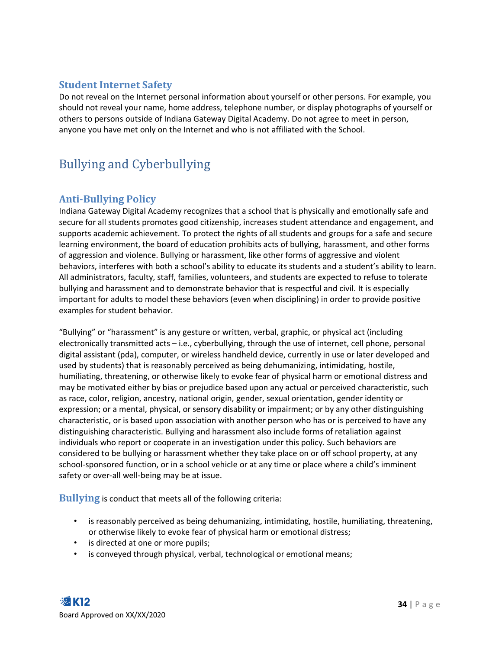#### <span id="page-34-0"></span>**Student Internet Safety**

Do not reveal on the Internet personal information about yourself or other persons. For example, you should not reveal your name, home address, telephone number, or display photographs of yourself or others to persons outside of Indiana Gateway Digital Academy. Do not agree to meet in person, anyone you have met only on the Internet and who is not affiliated with the School.

### <span id="page-34-1"></span>Bullying and Cyberbullying

#### <span id="page-34-2"></span>**Anti-Bullying Policy**

Indiana Gateway Digital Academy recognizes that a school that is physically and emotionally safe and secure for all students promotes good citizenship, increases student attendance and engagement, and supports academic achievement. To protect the rights of all students and groups for a safe and secure learning environment, the board of education prohibits acts of bullying, harassment, and other forms of aggression and violence. Bullying or harassment, like other forms of aggressive and violent behaviors, interferes with both a school's ability to educate its students and a student's ability to learn. All administrators, faculty, staff, families, volunteers, and students are expected to refuse to tolerate bullying and harassment and to demonstrate behavior that is respectful and civil. It is especially important for adults to model these behaviors (even when disciplining) in order to provide positive examples for student behavior.

"Bullying" or "harassment" is any gesture or written, verbal, graphic, or physical act (including electronically transmitted acts – i.e., cyberbullying, through the use of internet, cell phone, personal digital assistant (pda), computer, or wireless handheld device, currently in use or later developed and used by students) that is reasonably perceived as being dehumanizing, intimidating, hostile, humiliating, threatening, or otherwise likely to evoke fear of physical harm or emotional distress and may be motivated either by bias or prejudice based upon any actual or perceived characteristic, such as race, color, religion, ancestry, national origin, gender, sexual orientation, gender identity or expression; or a mental, physical, or sensory disability or impairment; or by any other distinguishing characteristic, or is based upon association with another person who has or is perceived to have any distinguishing characteristic. Bullying and harassment also include forms of retaliation against individuals who report or cooperate in an investigation under this policy. Such behaviors are considered to be bullying or harassment whether they take place on or off school property, at any school-sponsored function, or in a school vehicle or at any time or place where a child's imminent safety or over-all well-being may be at issue.

<span id="page-34-3"></span>**Bullying** is conduct that meets all of the following criteria:

- is reasonably perceived as being dehumanizing, intimidating, hostile, humiliating, threatening, or otherwise likely to evoke fear of physical harm or emotional distress;
- is directed at one or more pupils;
- is conveyed through physical, verbal, technological or emotional means;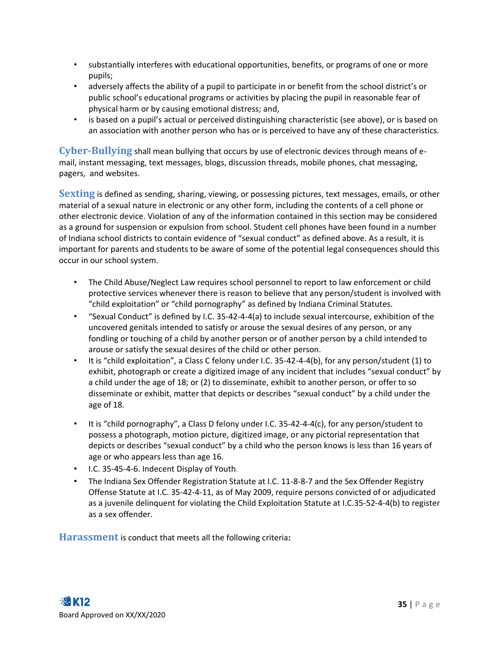- substantially interferes with educational opportunities, benefits, or programs of one or more pupils;
- adversely affects the ability of a pupil to participate in or benefit from the school district's or public school's educational programs or activities by placing the pupil in reasonable fear of physical harm or by causing emotional distress; and,
- is based on a pupil's actual or perceived distinguishing characteristic (see above), or is based on an association with another person who has or is perceived to have any of these characteristics.

<span id="page-35-0"></span>**Cyber-Bullying** shall mean bullying that occurs by use of electronic devices through means of email, instant messaging, text messages, blogs, discussion threads, mobile phones, chat messaging, pagers, and websites.

<span id="page-35-1"></span>**Sexting** is defined as sending, sharing, viewing, or possessing pictures, text messages, emails, or other material of a sexual nature in electronic or any other form, including the contents of a cell phone or other electronic device. Violation of any of the information contained in this section may be considered as a ground for suspension or expulsion from school. Student cell phones have been found in a number of Indiana school districts to contain evidence of "sexual conduct" as defined above. As a result, it is important for parents and students to be aware of some of the potential legal consequences should this occur in our school system.

- The Child Abuse/Neglect Law requires school personnel to report to law enforcement or child protective services whenever there is reason to believe that any person/student is involved with "child exploitation" or "child pornography" as defined by Indiana Criminal Statutes.
- "Sexual Conduct" is defined by I.C. 35-42-4-4(a) to include sexual intercourse, exhibition of the uncovered genitals intended to satisfy or arouse the sexual desires of any person, or any fondling or touching of a child by another person or of another person by a child intended to arouse or satisfy the sexual desires of the child or other person.
- It is "child exploitation", a Class C felony under I.C. 35-42-4-4(b), for any person/student (1) to exhibit, photograph or create a digitized image of any incident that includes "sexual conduct" by a child under the age of 18; or (2) to disseminate, exhibit to another person, or offer to so disseminate or exhibit, matter that depicts or describes "sexual conduct" by a child under the age of 18.
- It is "child pornography", a Class D felony under I.C. 35-42-4-4(c), for any person/student to possess a photograph, motion picture, digitized image, or any pictorial representation that depicts or describes "sexual conduct" by a child who the person knows is less than 16 years of age or who appears less than age 16.
- I.C. 35-45-4-6. Indecent Display of Youth.
- The Indiana Sex Offender Registration Statute at I.C. 11-8-8-7 and the Sex Offender Registry Offense Statute at I.C. 35-42-4-11, as of May 2009, require persons convicted of or adjudicated as a juvenile delinquent for violating the Child Exploitation Statute at I.C.35-52-4-4(b) to register as a sex offender.

<span id="page-35-2"></span>**Harassment** is conduct that meets all the following criteria**:**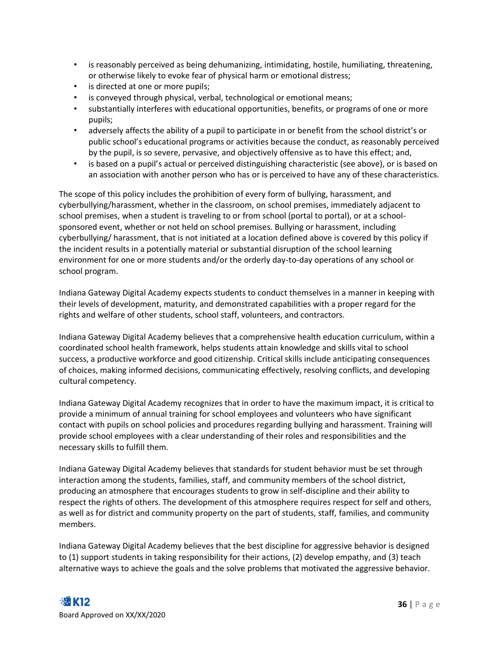- is reasonably perceived as being dehumanizing, intimidating, hostile, humiliating, threatening, or otherwise likely to evoke fear of physical harm or emotional distress;
- is directed at one or more pupils;
- is conveyed through physical, verbal, technological or emotional means;
- substantially interferes with educational opportunities, benefits, or programs of one or more pupils;
- adversely affects the ability of a pupil to participate in or benefit from the school district's or public school's educational programs or activities because the conduct, as reasonably perceived by the pupil, is so severe, pervasive, and objectively offensive as to have this effect; and,
- is based on a pupil's actual or perceived distinguishing characteristic (see above), or is based on an association with another person who has or is perceived to have any of these characteristics.

The scope of this policy includes the prohibition of every form of bullying, harassment, and cyberbullying/harassment, whether in the classroom, on school premises, immediately adjacent to school premises, when a student is traveling to or from school (portal to portal), or at a schoolsponsored event, whether or not held on school premises. Bullying or harassment, including cyberbullying/ harassment, that is not initiated at a location defined above is covered by this policy if the incident results in a potentially material or substantial disruption of the school learning environment for one or more students and/or the orderly day-to-day operations of any school or school program.

Indiana Gateway Digital Academy expects students to conduct themselves in a manner in keeping with their levels of development, maturity, and demonstrated capabilities with a proper regard for the rights and welfare of other students, school staff, volunteers, and contractors.

Indiana Gateway Digital Academy believes that a comprehensive health education curriculum, within a coordinated school health framework, helps students attain knowledge and skills vital to school success, a productive workforce and good citizenship. Critical skills include anticipating consequences of choices, making informed decisions, communicating effectively, resolving conflicts, and developing cultural competency.

Indiana Gateway Digital Academy recognizes that in order to have the maximum impact, it is critical to provide a minimum of annual training for school employees and volunteers who have significant contact with pupils on school policies and procedures regarding bullying and harassment. Training will provide school employees with a clear understanding of their roles and responsibilities and the necessary skills to fulfill them.

Indiana Gateway Digital Academy believes that standards for student behavior must be set through interaction among the students, families, staff, and community members of the school district, producing an atmosphere that encourages students to grow in self-discipline and their ability to respect the rights of others. The development of this atmosphere requires respect for self and others, as well as for district and community property on the part of students, staff, families, and community members.

Indiana Gateway Digital Academy believes that the best discipline for aggressive behavior is designed to (1) support students in taking responsibility for their actions, (2) develop empathy, and (3) teach alternative ways to achieve the goals and the solve problems that motivated the aggressive behavior.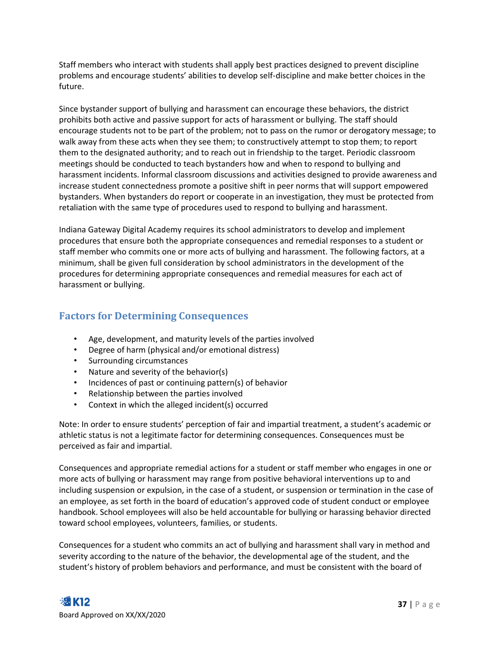Staff members who interact with students shall apply best practices designed to prevent discipline problems and encourage students' abilities to develop self-discipline and make better choices in the future.

Since bystander support of bullying and harassment can encourage these behaviors, the district prohibits both active and passive support for acts of harassment or bullying. The staff should encourage students not to be part of the problem; not to pass on the rumor or derogatory message; to walk away from these acts when they see them; to constructively attempt to stop them; to report them to the designated authority; and to reach out in friendship to the target. Periodic classroom meetings should be conducted to teach bystanders how and when to respond to bullying and harassment incidents. Informal classroom discussions and activities designed to provide awareness and increase student connectedness promote a positive shift in peer norms that will support empowered bystanders. When bystanders do report or cooperate in an investigation, they must be protected from retaliation with the same type of procedures used to respond to bullying and harassment.

Indiana Gateway Digital Academy requires its school administrators to develop and implement procedures that ensure both the appropriate consequences and remedial responses to a student or staff member who commits one or more acts of bullying and harassment. The following factors, at a minimum, shall be given full consideration by school administrators in the development of the procedures for determining appropriate consequences and remedial measures for each act of harassment or bullying.

#### <span id="page-37-0"></span>**Factors for Determining Consequences**

- Age, development, and maturity levels of the parties involved
- Degree of harm (physical and/or emotional distress)
- Surrounding circumstances
- Nature and severity of the behavior(s)
- Incidences of past or continuing pattern(s) of behavior
- Relationship between the parties involved
- Context in which the alleged incident(s) occurred

Note: In order to ensure students' perception of fair and impartial treatment, a student's academic or athletic status is not a legitimate factor for determining consequences. Consequences must be perceived as fair and impartial.

Consequences and appropriate remedial actions for a student or staff member who engages in one or more acts of bullying or harassment may range from positive behavioral interventions up to and including suspension or expulsion, in the case of a student, or suspension or termination in the case of an employee, as set forth in the board of education's approved code of student conduct or employee handbook. School employees will also be held accountable for bullying or harassing behavior directed toward school employees, volunteers, families, or students.

Consequences for a student who commits an act of bullying and harassment shall vary in method and severity according to the nature of the behavior, the developmental age of the student, and the student's history of problem behaviors and performance, and must be consistent with the board of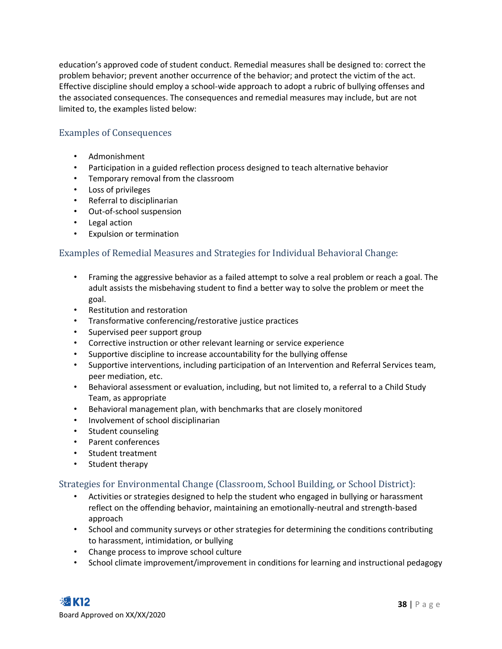education's approved code of student conduct. Remedial measures shall be designed to: correct the problem behavior; prevent another occurrence of the behavior; and protect the victim of the act. Effective discipline should employ a school-wide approach to adopt a rubric of bullying offenses and the associated consequences. The consequences and remedial measures may include, but are not limited to, the examples listed below:

#### <span id="page-38-0"></span>Examples of Consequences

- Admonishment
- Participation in a guided reflection process designed to teach alternative behavior
- Temporary removal from the classroom
- Loss of privileges
- Referral to disciplinarian
- Out-of-school suspension
- Legal action
- Expulsion or termination

#### <span id="page-38-1"></span>Examples of Remedial Measures and Strategies for Individual Behavioral Change:

- Framing the aggressive behavior as a failed attempt to solve a real problem or reach a goal. The adult assists the misbehaving student to find a better way to solve the problem or meet the goal.
- Restitution and restoration
- Transformative conferencing/restorative justice practices
- Supervised peer support group
- Corrective instruction or other relevant learning or service experience
- Supportive discipline to increase accountability for the bullying offense
- Supportive interventions, including participation of an Intervention and Referral Services team, peer mediation, etc.
- Behavioral assessment or evaluation, including, but not limited to, a referral to a Child Study Team, as appropriate
- Behavioral management plan, with benchmarks that are closely monitored
- Involvement of school disciplinarian
- Student counseling
- Parent conferences
- Student treatment
- Student therapy

#### <span id="page-38-2"></span>Strategies for Environmental Change (Classroom, School Building, or School District):

- Activities or strategies designed to help the student who engaged in bullying or harassment reflect on the offending behavior, maintaining an emotionally-neutral and strength-based approach
- School and community surveys or other strategies for determining the conditions contributing to harassment, intimidation, or bullying
- Change process to improve school culture
- School climate improvement/improvement in conditions for learning and instructional pedagogy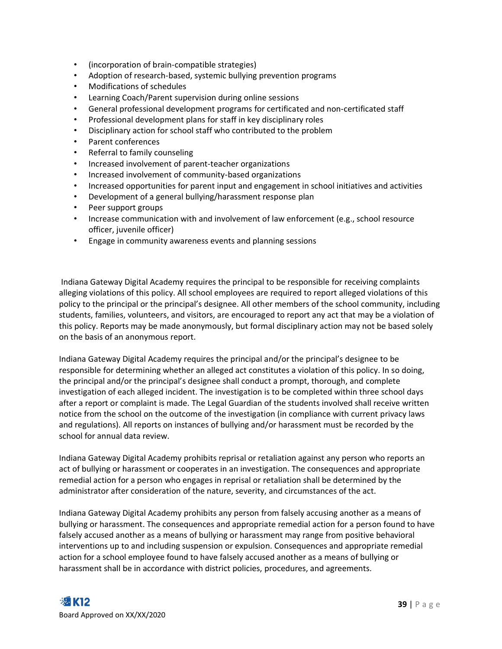- (incorporation of brain-compatible strategies)
- Adoption of research-based, systemic bullying prevention programs
- Modifications of schedules
- Learning Coach/Parent supervision during online sessions
- General professional development programs for certificated and non-certificated staff
- Professional development plans for staff in key disciplinary roles
- Disciplinary action for school staff who contributed to the problem
- Parent conferences
- Referral to family counseling
- Increased involvement of parent-teacher organizations
- Increased involvement of community-based organizations
- Increased opportunities for parent input and engagement in school initiatives and activities
- Development of a general bullying/harassment response plan
- Peer support groups
- Increase communication with and involvement of law enforcement (e.g., school resource officer, juvenile officer)
- Engage in community awareness events and planning sessions

Indiana Gateway Digital Academy requires the principal to be responsible for receiving complaints alleging violations of this policy. All school employees are required to report alleged violations of this policy to the principal or the principal's designee. All other members of the school community, including students, families, volunteers, and visitors, are encouraged to report any act that may be a violation of this policy. Reports may be made anonymously, but formal disciplinary action may not be based solely on the basis of an anonymous report.

Indiana Gateway Digital Academy requires the principal and/or the principal's designee to be responsible for determining whether an alleged act constitutes a violation of this policy. In so doing, the principal and/or the principal's designee shall conduct a prompt, thorough, and complete investigation of each alleged incident. The investigation is to be completed within three school days after a report or complaint is made. The Legal Guardian of the students involved shall receive written notice from the school on the outcome of the investigation (in compliance with current privacy laws and regulations). All reports on instances of bullying and/or harassment must be recorded by the school for annual data review.

Indiana Gateway Digital Academy prohibits reprisal or retaliation against any person who reports an act of bullying or harassment or cooperates in an investigation. The consequences and appropriate remedial action for a person who engages in reprisal or retaliation shall be determined by the administrator after consideration of the nature, severity, and circumstances of the act.

Indiana Gateway Digital Academy prohibits any person from falsely accusing another as a means of bullying or harassment. The consequences and appropriate remedial action for a person found to have falsely accused another as a means of bullying or harassment may range from positive behavioral interventions up to and including suspension or expulsion. Consequences and appropriate remedial action for a school employee found to have falsely accused another as a means of bullying or harassment shall be in accordance with district policies, procedures, and agreements.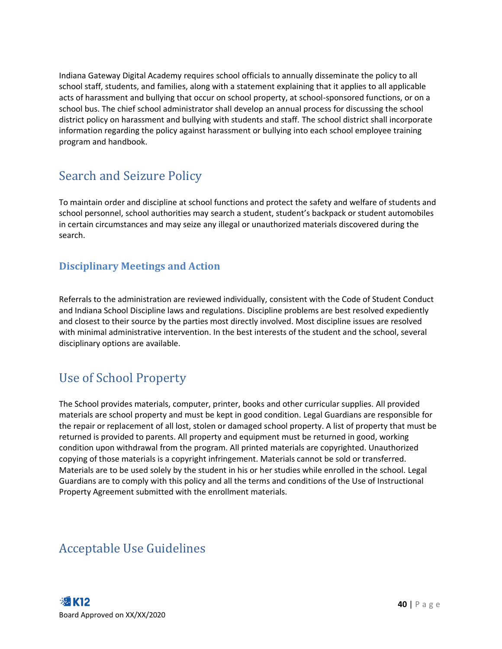Indiana Gateway Digital Academy requires school officials to annually disseminate the policy to all school staff, students, and families, along with a statement explaining that it applies to all applicable acts of harassment and bullying that occur on school property, at school-sponsored functions, or on a school bus. The chief school administrator shall develop an annual process for discussing the school district policy on harassment and bullying with students and staff. The school district shall incorporate information regarding the policy against harassment or bullying into each school employee training program and handbook.

### <span id="page-40-0"></span>Search and Seizure Policy

To maintain order and discipline at school functions and protect the safety and welfare of students and school personnel, school authorities may search a student, student's backpack or student automobiles in certain circumstances and may seize any illegal or unauthorized materials discovered during the search.

#### <span id="page-40-1"></span>**Disciplinary Meetings and Action**

Referrals to the administration are reviewed individually, consistent with the Code of Student Conduct and Indiana School Discipline laws and regulations. Discipline problems are best resolved expediently and closest to their source by the parties most directly involved. Most discipline issues are resolved with minimal administrative intervention. In the best interests of the student and the school, several disciplinary options are available.

### <span id="page-40-2"></span>Use of School Property

The School provides materials, computer, printer, books and other curricular supplies. All provided materials are school property and must be kept in good condition. Legal Guardians are responsible for the repair or replacement of all lost, stolen or damaged school property. A list of property that must be returned is provided to parents. All property and equipment must be returned in good, working condition upon withdrawal from the program. All printed materials are copyrighted. Unauthorized copying of those materials is a copyright infringement. Materials cannot be sold or transferred. Materials are to be used solely by the student in his or her studies while enrolled in the school. Legal Guardians are to comply with this policy and all the terms and conditions of the Use of Instructional Property Agreement submitted with the enrollment materials.

### <span id="page-40-3"></span>Acceptable Use Guidelines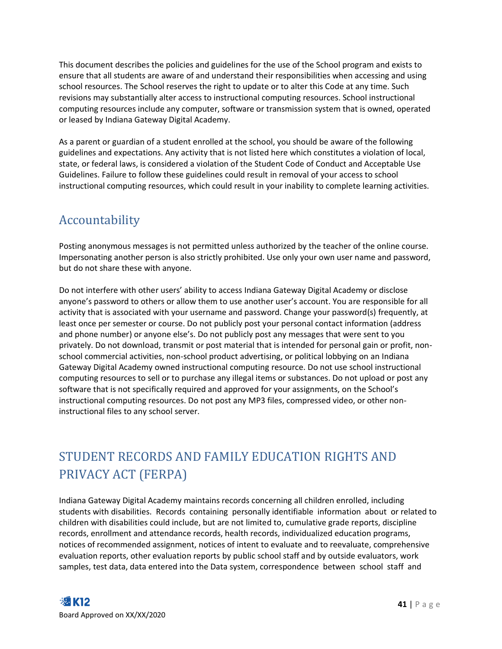This document describes the policies and guidelines for the use of the School program and exists to ensure that all students are aware of and understand their responsibilities when accessing and using school resources. The School reserves the right to update or to alter this Code at any time. Such revisions may substantially alter access to instructional computing resources. School instructional computing resources include any computer, software or transmission system that is owned, operated or leased by Indiana Gateway Digital Academy.

As a parent or guardian of a student enrolled at the school, you should be aware of the following guidelines and expectations. Any activity that is not listed here which constitutes a violation of local, state, or federal laws, is considered a violation of the Student Code of Conduct and Acceptable Use Guidelines. Failure to follow these guidelines could result in removal of your access to school instructional computing resources, which could result in your inability to complete learning activities.

### <span id="page-41-0"></span>Accountability

Posting anonymous messages is not permitted unless authorized by the teacher of the online course. Impersonating another person is also strictly prohibited. Use only your own user name and password, but do not share these with anyone.

Do not interfere with other users' ability to access Indiana Gateway Digital Academy or disclose anyone's password to others or allow them to use another user's account. You are responsible for all activity that is associated with your username and password. Change your password(s) frequently, at least once per semester or course. Do not publicly post your personal contact information (address and phone number) or anyone else's. Do not publicly post any messages that were sent to you privately. Do not download, transmit or post material that is intended for personal gain or profit, nonschool commercial activities, non-school product advertising, or political lobbying on an Indiana Gateway Digital Academy owned instructional computing resource. Do not use school instructional computing resources to sell or to purchase any illegal items or substances. Do not upload or post any software that is not specifically required and approved for your assignments, on the School's instructional computing resources. Do not post any MP3 files, compressed video, or other noninstructional files to any school server.

## <span id="page-41-1"></span>STUDENT RECORDS AND FAMILY EDUCATION RIGHTS AND PRIVACY ACT (FERPA)

Indiana Gateway Digital Academy maintains records concerning all children enrolled, including students with disabilities. Records containing personally identifiable information about or related to children with disabilities could include, but are not limited to, cumulative grade reports, discipline records, enrollment and attendance records, health records, individualized education programs, notices of recommended assignment, notices of intent to evaluate and to reevaluate, comprehensive evaluation reports, other evaluation reports by public school staff and by outside evaluators, work samples, test data, data entered into the Data system, correspondence between school staff and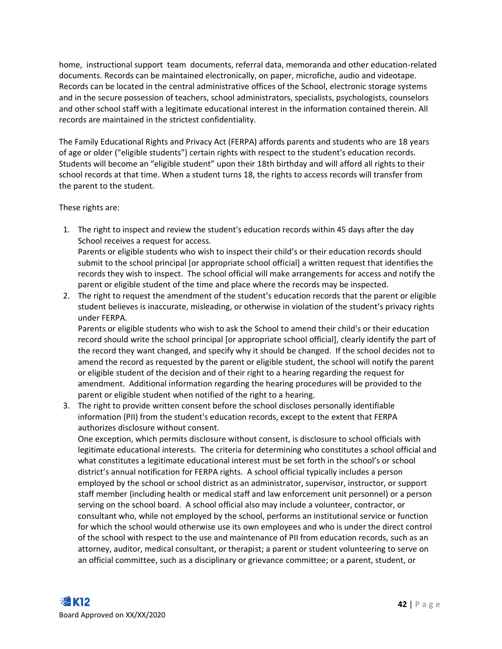home, instructional support team documents, referral data, memoranda and other education-related documents. Records can be maintained electronically, on paper, microfiche, audio and videotape. Records can be located in the central administrative offices of the School, electronic storage systems and in the secure possession of teachers, school administrators, specialists, psychologists, counselors and other school staff with a legitimate educational interest in the information contained therein. All records are maintained in the strictest confidentiality.

The Family Educational Rights and Privacy Act (FERPA) affords parents and students who are 18 years of age or older ("eligible students") certain rights with respect to the student's education records. Students will become an "eligible student" upon their 18th birthday and will afford all rights to their school records at that time. When a student turns 18, the rights to access records will transfer from the parent to the student.

These rights are:

- 1. The right to inspect and review the student's education records within 45 days after the day School receives a request for access. Parents or eligible students who wish to inspect their child's or their education records should submit to the school principal [or appropriate school official] a written request that identifies the records they wish to inspect. The school official will make arrangements for access and notify the parent or eligible student of the time and place where the records may be inspected.
- 2. The right to request the amendment of the student's education records that the parent or eligible student believes is inaccurate, misleading, or otherwise in violation of the student's privacy rights under FERPA.

Parents or eligible students who wish to ask the School to amend their child's or their education record should write the school principal [or appropriate school official], clearly identify the part of the record they want changed, and specify why it should be changed. If the school decides not to amend the record as requested by the parent or eligible student, the school will notify the parent or eligible student of the decision and of their right to a hearing regarding the request for amendment. Additional information regarding the hearing procedures will be provided to the parent or eligible student when notified of the right to a hearing.

3. The right to provide written consent before the school discloses personally identifiable information (PII) from the student's education records, except to the extent that FERPA authorizes disclosure without consent.

One exception, which permits disclosure without consent, is disclosure to school officials with legitimate educational interests. The criteria for determining who constitutes a school official and what constitutes a legitimate educational interest must be set forth in the school's or school district's annual notification for FERPA rights. A school official typically includes a person employed by the school or school district as an administrator, supervisor, instructor, or support staff member (including health or medical staff and law enforcement unit personnel) or a person serving on the school board. A school official also may include a volunteer, contractor, or consultant who, while not employed by the school, performs an institutional service or function for which the school would otherwise use its own employees and who is under the direct control of the school with respect to the use and maintenance of PII from education records, such as an attorney, auditor, medical consultant, or therapist; a parent or student volunteering to serve on an official committee, such as a disciplinary or grievance committee; or a parent, student, or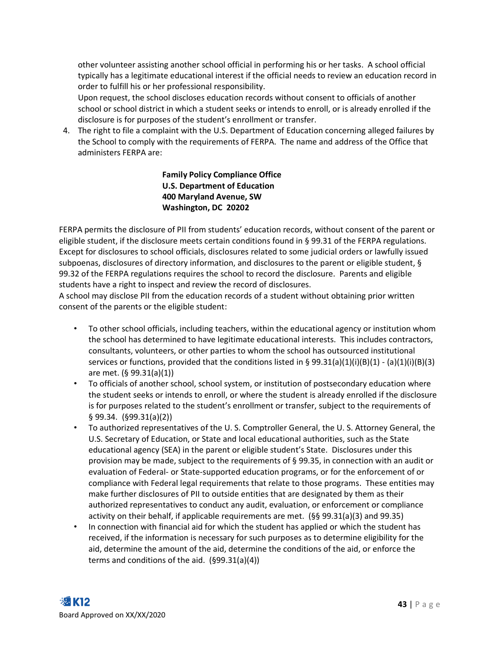other volunteer assisting another school official in performing his or her tasks. A school official typically has a legitimate educational interest if the official needs to review an education record in order to fulfill his or her professional responsibility.

Upon request, the school discloses education records without consent to officials of another school or school district in which a student seeks or intends to enroll, or is already enrolled if the disclosure is for purposes of the student's enrollment or transfer.

4. The right to file a complaint with the U.S. Department of Education concerning alleged failures by the School to comply with the requirements of FERPA. The name and address of the Office that administers FERPA are:

#### **Family Policy Compliance Office U.S. Department of Education 400 Maryland Avenue, SW Washington, DC 20202**

FERPA permits the disclosure of PII from students' education records, without consent of the parent or eligible student, if the disclosure meets certain conditions found in § 99.31 of the FERPA regulations. Except for disclosures to school officials, disclosures related to some judicial orders or lawfully issued subpoenas, disclosures of directory information, and disclosures to the parent or eligible student, § 99.32 of the FERPA regulations requires the school to record the disclosure. Parents and eligible students have a right to inspect and review the record of disclosures.

A school may disclose PII from the education records of a student without obtaining prior written consent of the parents or the eligible student:

- To other school officials, including teachers, within the educational agency or institution whom the school has determined to have legitimate educational interests. This includes contractors, consultants, volunteers, or other parties to whom the school has outsourced institutional services or functions, provided that the conditions listed in § 99.31(a)(1)(i)(B)(1) - (a)(1)(i)(B)(3) are met. (§ 99.31(a)(1))
- To officials of another school, school system, or institution of postsecondary education where the student seeks or intends to enroll, or where the student is already enrolled if the disclosure is for purposes related to the student's enrollment or transfer, subject to the requirements of § 99.34. (§99.31(a)(2))
- To authorized representatives of the U. S. Comptroller General, the U. S. Attorney General, the U.S. Secretary of Education, or State and local educational authorities, such as the State educational agency (SEA) in the parent or eligible student's State. Disclosures under this provision may be made, subject to the requirements of § 99.35, in connection with an audit or evaluation of Federal- or State-supported education programs, or for the enforcement of or compliance with Federal legal requirements that relate to those programs. These entities may make further disclosures of PII to outside entities that are designated by them as their authorized representatives to conduct any audit, evaluation, or enforcement or compliance activity on their behalf, if applicable requirements are met. (§§ 99.31(a)(3) and 99.35)
- In connection with financial aid for which the student has applied or which the student has received, if the information is necessary for such purposes as to determine eligibility for the aid, determine the amount of the aid, determine the conditions of the aid, or enforce the terms and conditions of the aid. (§99.31(a)(4))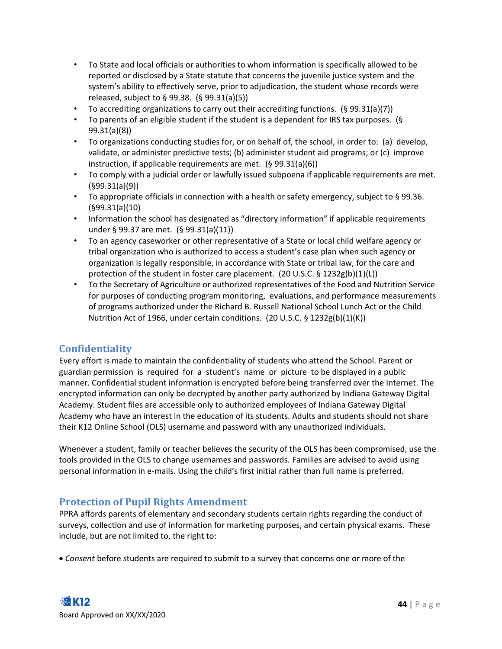- To State and local officials or authorities to whom information is specifically allowed to be reported or disclosed by a State statute that concerns the juvenile justice system and the system's ability to effectively serve, prior to adjudication, the student whose records were released, subject to § 99.38. (§ 99.31(a)(5))
- To accrediting organizations to carry out their accrediting functions. (§ 99.31(a)(7))
- To parents of an eligible student if the student is a dependent for IRS tax purposes. (§ 99.31(a)(8))
- To organizations conducting studies for, or on behalf of, the school, in order to: (a) develop, validate, or administer predictive tests; (b) administer student aid programs; or (c) improve instruction, if applicable requirements are met. (§ 99.31(a)(6))
- To comply with a judicial order or lawfully issued subpoena if applicable requirements are met. (§99.31(a)(9))
- To appropriate officials in connection with a health or safety emergency, subject to  $\S$  99.36. (§99.31(a)(10)
- Information the school has designated as "directory information" if applicable requirements under § 99.37 are met. (§ 99.31(a)(11))
- To an agency caseworker or other representative of a State or local child welfare agency or tribal organization who is authorized to access a student's case plan when such agency or organization is legally responsible, in accordance with State or tribal law, for the care and protection of the student in foster care placement. (20 U.S.C. § 1232g(b)(1)(L))
- To the Secretary of Agriculture or authorized representatives of the Food and Nutrition Service for purposes of conducting program monitoring, evaluations, and performance measurements of programs authorized under the Richard B. Russell National School Lunch Act or the Child Nutrition Act of 1966, under certain conditions. (20 U.S.C. § 1232g(b)(1)(K))

#### <span id="page-44-0"></span>**Confidentiality**

Every effort is made to maintain the confidentiality of students who attend the School. Parent or guardian permission is required for a student's name or picture to be displayed in a public manner. Confidential student information is encrypted before being transferred over the Internet. The encrypted information can only be decrypted by another party authorized by Indiana Gateway Digital Academy. Student files are accessible only to authorized employees of Indiana Gateway Digital Academy who have an interest in the education of its students. Adults and students should not share their K12 Online School (OLS) username and password with any unauthorized individuals.

Whenever a student, family or teacher believes the security of the OLS has been compromised, use the tools provided in the OLS to change usernames and passwords. Families are advised to avoid using personal information in e-mails. Using the child's first initial rather than full name is preferred.

#### <span id="page-44-1"></span>**Protection of Pupil Rights Amendment**

PPRA affords parents of elementary and secondary students certain rights regarding the conduct of surveys, collection and use of information for marketing purposes, and certain physical exams. These include, but are not limited to, the right to:

• *Consent* before students are required to submit to a survey that concerns one or more of the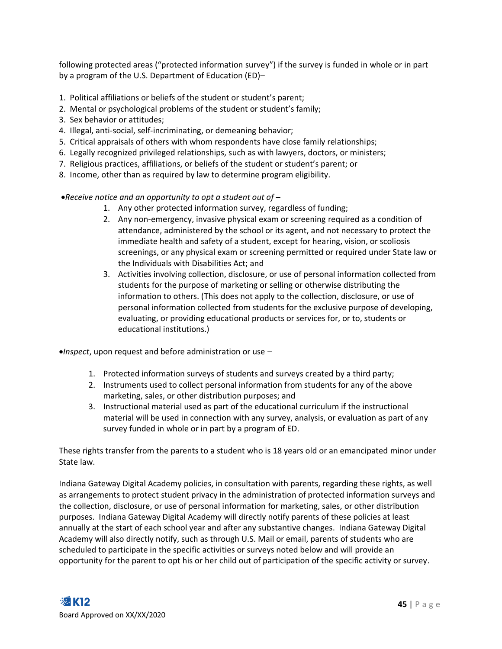following protected areas ("protected information survey") if the survey is funded in whole or in part by a program of the U.S. Department of Education (ED)–

- 1. Political affiliations or beliefs of the student or student's parent;
- 2. Mental or psychological problems of the student or student's family;
- 3. Sex behavior or attitudes;
- 4. Illegal, anti-social, self-incriminating, or demeaning behavior;
- 5. Critical appraisals of others with whom respondents have close family relationships;
- 6. Legally recognized privileged relationships, such as with lawyers, doctors, or ministers;
- 7. Religious practices, affiliations, or beliefs of the student or student's parent; or
- 8. Income, other than as required by law to determine program eligibility.

•*Receive notice and an opportunity to opt a student out of* –

- 1. Any other protected information survey, regardless of funding;
- 2. Any non-emergency, invasive physical exam or screening required as a condition of attendance, administered by the school or its agent, and not necessary to protect the immediate health and safety of a student, except for hearing, vision, or scoliosis screenings, or any physical exam or screening permitted or required under State law or the Individuals with Disabilities Act; and
- 3. Activities involving collection, disclosure, or use of personal information collected from students for the purpose of marketing or selling or otherwise distributing the information to others. (This does not apply to the collection, disclosure, or use of personal information collected from students for the exclusive purpose of developing, evaluating, or providing educational products or services for, or to, students or educational institutions.)

•*Inspect*, upon request and before administration or use –

- 1. Protected information surveys of students and surveys created by a third party;
- 2. Instruments used to collect personal information from students for any of the above marketing, sales, or other distribution purposes; and
- 3. Instructional material used as part of the educational curriculum if the instructional material will be used in connection with any survey, analysis, or evaluation as part of any survey funded in whole or in part by a program of ED.

These rights transfer from the parents to a student who is 18 years old or an emancipated minor under State law.

Indiana Gateway Digital Academy policies, in consultation with parents, regarding these rights, as well as arrangements to protect student privacy in the administration of protected information surveys and the collection, disclosure, or use of personal information for marketing, sales, or other distribution purposes. Indiana Gateway Digital Academy will directly notify parents of these policies at least annually at the start of each school year and after any substantive changes. Indiana Gateway Digital Academy will also directly notify, such as through U.S. Mail or email, parents of students who are scheduled to participate in the specific activities or surveys noted below and will provide an opportunity for the parent to opt his or her child out of participation of the specific activity or survey.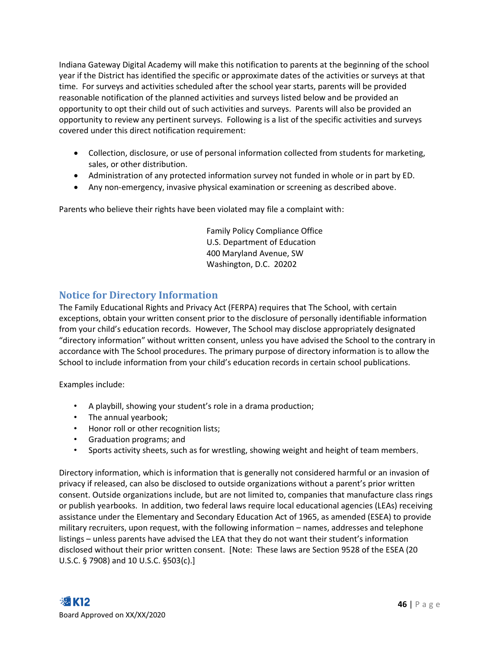Indiana Gateway Digital Academy will make this notification to parents at the beginning of the school year if the District has identified the specific or approximate dates of the activities or surveys at that time. For surveys and activities scheduled after the school year starts, parents will be provided reasonable notification of the planned activities and surveys listed below and be provided an opportunity to opt their child out of such activities and surveys. Parents will also be provided an opportunity to review any pertinent surveys. Following is a list of the specific activities and surveys covered under this direct notification requirement:

- Collection, disclosure, or use of personal information collected from students for marketing, sales, or other distribution.
- Administration of any protected information survey not funded in whole or in part by ED.
- Any non-emergency, invasive physical examination or screening as described above.

Parents who believe their rights have been violated may file a complaint with:

Family Policy Compliance Office U.S. Department of Education 400 Maryland Avenue, SW Washington, D.C. 20202

#### <span id="page-46-0"></span>**Notice for Directory Information**

The Family Educational Rights and Privacy Act (FERPA) requires that The School, with certain exceptions, obtain your written consent prior to the disclosure of personally identifiable information from your child's education records. However, The School may disclose appropriately designated "directory information" without written consent, unless you have advised the School to the contrary in accordance with The School procedures. The primary purpose of directory information is to allow the School to include information from your child's education records in certain school publications.

Examples include:

- A playbill, showing your student's role in a drama production;
- The annual yearbook;
- Honor roll or other recognition lists;
- Graduation programs; and
- Sports activity sheets, such as for wrestling, showing weight and height of team members.

Directory information, which is information that is generally not considered harmful or an invasion of privacy if released, can also be disclosed to outside organizations without a parent's prior written consent. Outside organizations include, but are not limited to, companies that manufacture class rings or publish yearbooks. In addition, two federal laws require local educational agencies (LEAs) receiving assistance under the Elementary and Secondary Education Act of 1965, as amended (ESEA) to provide military recruiters, upon request, with the following information – names, addresses and telephone listings – unless parents have advised the LEA that they do not want their student's information disclosed without their prior written consent. [Note: These laws are Section 9528 of the ESEA (20 U.S.C. § 7908) and 10 U.S.C. §503(c).]